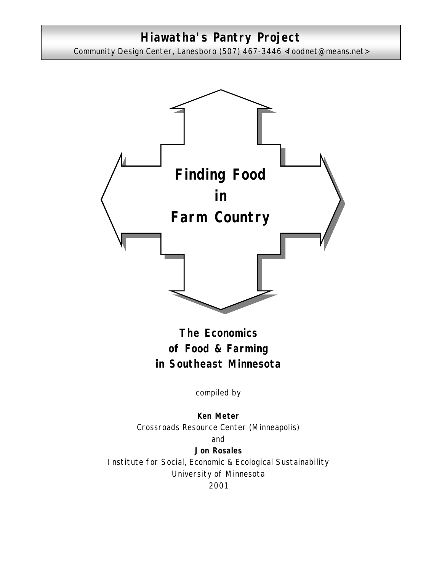# **Hiawatha's Pantry Project**

Community Design Center, Lanesboro (507) 467-3446 <foodnet@means.net>



**The Economics of Food & Farming in Southeast Minnesota**

compiled by

**Ken Meter** Crossroads Resource Center (Minneapolis) and **Jon Rosales** Institute for Social, Economic & Ecological Sustainability University of Minnesota 2001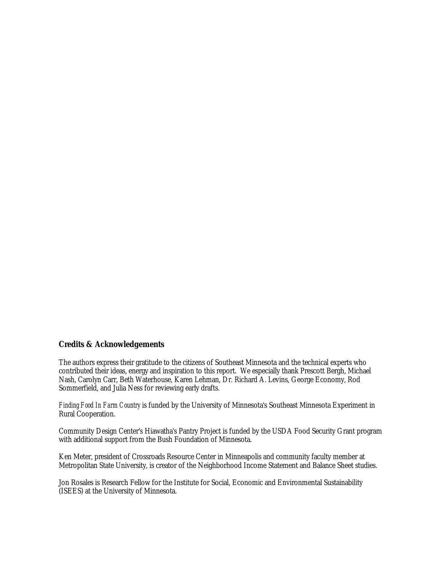#### **Credits & Acknowledgements**

The authors express their gratitude to the citizens of Southeast Minnesota and the technical experts who contributed their ideas, energy and inspiration to this report. We especially thank Prescott Bergh, Michael Nash, Carolyn Carr, Beth Waterhouse, Karen Lehman, Dr. Richard A. Levins, George Economy, Rod Sommerfield, and Julia Ness for reviewing early drafts.

*Finding Food In Farm Country* is funded by the University of Minnesota's Southeast Minnesota Experiment in Rural Cooperation.

Community Design Center's Hiawatha's Pantry Project is funded by the USDA Food Security Grant program with additional support from the Bush Foundation of Minnesota.

Ken Meter, president of Crossroads Resource Center in Minneapolis and community faculty member at Metropolitan State University, is creator of the Neighborhood Income Statement and Balance Sheet studies.

Jon Rosales is Research Fellow for the Institute for Social, Economic and Environmental Sustainability (ISEES) at the University of Minnesota.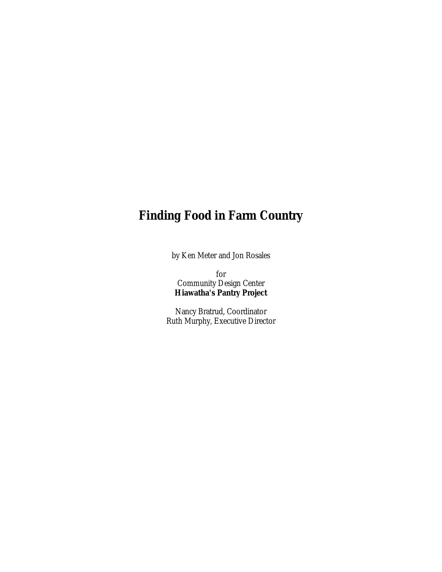# **Finding Food in Farm Country**

by Ken Meter and Jon Rosales

for Community Design Center **Hiawatha's Pantry Project**

Nancy Bratrud, Coordinator Ruth Murphy, Executive Director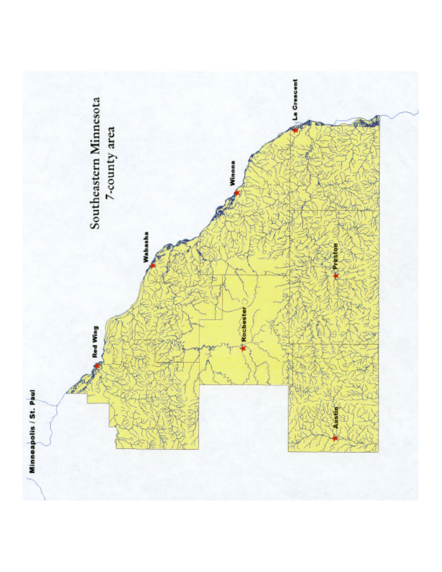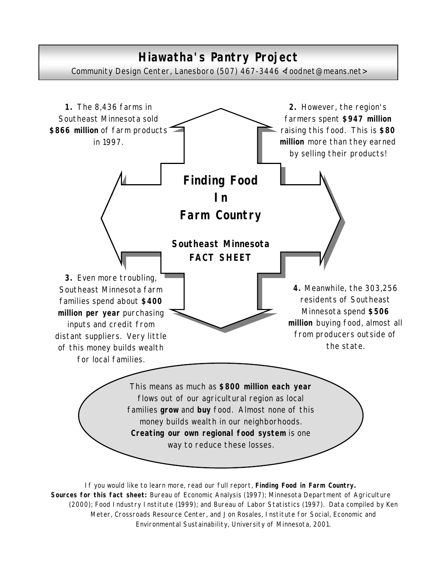# **Hiawatha's Pantry Project** Community Design Center, Lanesboro (507) 467-3446 <foodnet@means.net>



If you would like to learn more, read our full report, *Finding Food in Farm Country. Sources for this fact sheet: Bureau of Economic Analysis (1997)*; Minnesota Department of Agriculture (2000); Food Industry Institute (1999); and Bureau of Labor Statistics (1997). Data compiled by Ken Meter, Crossroads Resource Center, and Jon Rosales, Institute for Social, Economic and Environmental Sustainability, University of Minnesota, 2001.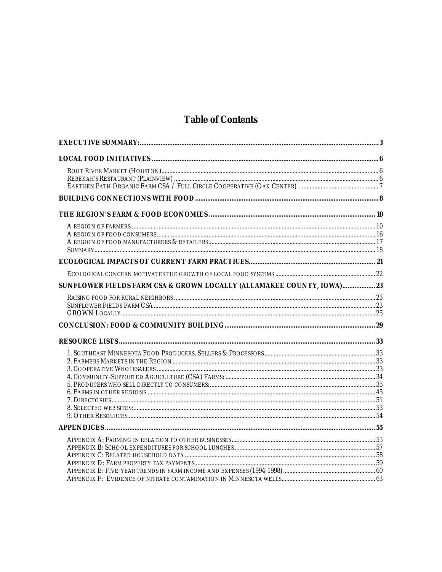# **Table of Contents**

| SUNFLOWER FIELDS FARM CSA & GROWN LOCALLY (ALLAMAKEE COUNTY, IOWA) 23 |  |
|-----------------------------------------------------------------------|--|
|                                                                       |  |
|                                                                       |  |
|                                                                       |  |
|                                                                       |  |
|                                                                       |  |
|                                                                       |  |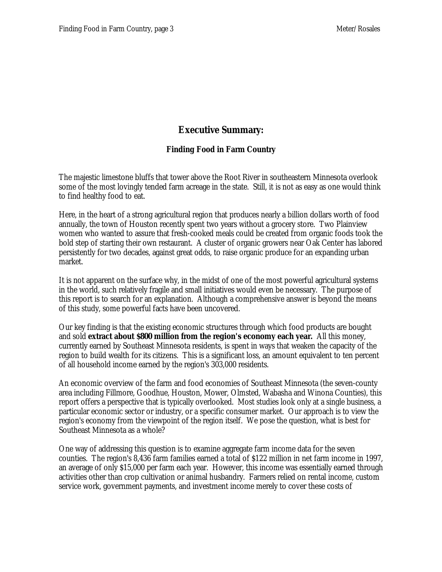# **Executive Summary:**

### **Finding Food in Farm Country**

The majestic limestone bluffs that tower above the Root River in southeastern Minnesota overlook some of the most lovingly tended farm acreage in the state. Still, it is not as easy as one would think to find healthy food to eat.

Here, in the heart of a strong agricultural region that produces nearly a billion dollars worth of food annually, the town of Houston recently spent two years without a grocery store. Two Plainview women who wanted to assure that fresh-cooked meals could be created from organic foods took the bold step of starting their own restaurant. A cluster of organic growers near Oak Center has labored persistently for two decades, against great odds, to raise organic produce for an expanding urban market.

It is not apparent on the surface why, in the midst of one of the most powerful agricultural systems in the world, such relatively fragile and small initiatives would even be necessary. The purpose of this report is to search for an explanation. Although a comprehensive answer is beyond the means of this study, some powerful facts have been uncovered.

Our key finding is that the existing economic structures through which food products are bought and sold **extract about \$800 million from the region's economy each year.** All this money, currently earned by Southeast Minnesota residents, is spent in ways that weaken the capacity of the region to build wealth for its citizens. This is a significant loss, an amount equivalent to ten percent of all household income earned by the region's 303,000 residents.

An economic overview of the farm and food economies of Southeast Minnesota (the seven-county area including Fillmore, Goodhue, Houston, Mower, Olmsted, Wabasha and Winona Counties), this report offers a perspective that is typically overlooked. Most studies look only at a single business, a particular economic sector or industry, or a specific consumer market. Our approach is to view the region's economy from the viewpoint of the region itself. We pose the question, what is best for Southeast Minnesota as a whole?

One way of addressing this question is to examine aggregate farm income data for the seven counties. The region's 8,436 farm families earned a total of \$122 million in net farm income in 1997, an average of only \$15,000 per farm each year. However, this income was essentially earned through activities other than crop cultivation or animal husbandry. Farmers relied on rental income, custom service work, government payments, and investment income merely to cover these costs of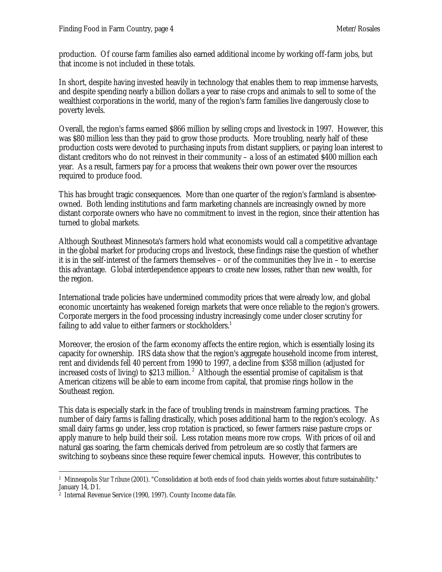production. Of course farm families also earned additional income by working off-farm jobs, but that income is not included in these totals.

In short, despite having invested heavily in technology that enables them to reap immense harvests, and despite spending nearly a billion dollars a year to raise crops and animals to sell to some of the wealthiest corporations in the world, many of the region's farm families live dangerously close to poverty levels.

Overall, the region's farms earned \$866 million by selling crops and livestock in 1997. However, this was \$80 million less than they paid to grow those products. More troubling, nearly half of these production costs were devoted to purchasing inputs from distant suppliers, or paying loan interest to distant creditors who do not reinvest in their community – a loss of an estimated \$400 million each year. As a result, farmers pay for a process that weakens their own power over the resources required to produce food.

This has brought tragic consequences. More than one quarter of the region's farmland is absenteeowned. Both lending institutions and farm marketing channels are increasingly owned by more distant corporate owners who have no commitment to invest in the region, since their attention has turned to global markets.

Although Southeast Minnesota's farmers hold what economists would call a competitive advantage in the global market for producing crops and livestock, these findings raise the question of whether it is in the self-interest of the farmers themselves – or of the communities they live in – to exercise this advantage. Global interdependence appears to create new losses, rather than new wealth, for the region.

International trade policies have undermined commodity prices that were already low, and global economic uncertainty has weakened foreign markets that were once reliable to the region's growers. Corporate mergers in the food processing industry increasingly come under closer scrutiny for failing to add value to either farmers or stockholders.<sup>1</sup>

Moreover, the erosion of the farm economy affects the entire region, which is essentially losing its capacity for ownership. IRS data show that the region's aggregate household income from interest, rent and dividends fell 40 percent from 1990 to 1997, a decline from \$358 million (adjusted for increased costs of living) to  $$213$  million.<sup>2</sup> Although the essential promise of capitalism is that American citizens will be able to earn income from capital, that promise rings hollow in the Southeast region.

This data is especially stark in the face of troubling trends in mainstream farming practices. The number of dairy farms is falling drastically, which poses additional harm to the region's ecology. As small dairy farms go under, less crop rotation is practiced, so fewer farmers raise pasture crops or apply manure to help build their soil. Less rotation means more row crops. With prices of oil and natural gas soaring, the farm chemicals derived from petroleum are so costly that farmers are switching to soybeans since these require fewer chemical inputs. However, this contributes to

 1 Minneapolis *Star Tribune* (2001). "Consolidation at both ends of food chain yields worries about future sustainability." January 14, D1.

<sup>2</sup> Internal Revenue Service (1990, 1997). County Income data file.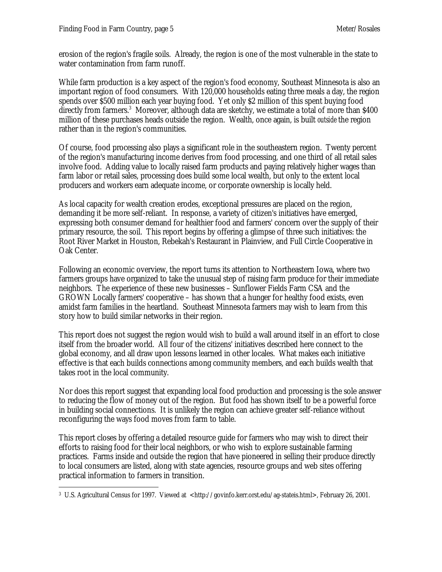erosion of the region's fragile soils. Already, the region is one of the most vulnerable in the state to water contamination from farm runoff.

While farm production is a key aspect of the region's food economy, Southeast Minnesota is also an important region of food consumers. With 120,000 households eating three meals a day, the region spends over \$500 million each year buying food. Yet only \$2 million of this spent buying food directly from farmers.<sup>3</sup> Moreover, although data are sketchy, we estimate a total of more than \$400 million of these purchases heads outside the region. Wealth, once again, is built *outside* the region rather than *in* the region's communities.

Of course, food processing also plays a significant role in the southeastern region. Twenty percent of the region's manufacturing income derives from food processing, and one third of all retail sales involve food. Adding value to locally raised farm products and paying relatively higher wages than farm labor or retail sales, processing does build some local wealth, but only to the extent local producers and workers earn adequate income, or corporate ownership is locally held.

As local capacity for wealth creation erodes, exceptional pressures are placed on the region, demanding it be more self-reliant. In response, a variety of citizen's initiatives have emerged, expressing both consumer demand for healthier food and farmers' concern over the supply of their primary resource, the soil. This report begins by offering a glimpse of three such initiatives: the Root River Market in Houston, Rebekah's Restaurant in Plainview, and Full Circle Cooperative in Oak Center.

Following an economic overview, the report turns its attention to Northeastern Iowa, where two farmers groups have organized to take the unusual step of raising farm produce for their immediate neighbors. The experience of these new businesses – Sunflower Fields Farm CSA and the GROWN Locally farmers' cooperative – has shown that a hunger for healthy food exists, even amidst farm families in the heartland. Southeast Minnesota farmers may wish to learn from this story how to build similar networks in their region.

This report does not suggest the region would wish to build a wall around itself in an effort to close itself from the broader world. All four of the citizens' initiatives described here connect to the global economy, and all draw upon lessons learned in other locales. What makes each initiative effective is that each builds connections among community members, and each builds wealth that takes root in the local community.

Nor does this report suggest that expanding local food production and processing is the sole answer to reducing the flow of money out of the region. But food has shown itself to be a powerful force in building social connections. It is unlikely the region can achieve greater self-reliance without reconfiguring the ways food moves from farm to table.

This report closes by offering a detailed resource guide for farmers who may wish to direct their efforts to raising food for their local neighbors, or who wish to explore sustainable farming practices. Farms inside and outside the region that have pioneered in selling their produce directly to local consumers are listed, along with state agencies, resource groups and web sites offering practical information to farmers in transition.

 $\overline{a}$ 3 U.S. Agricultural Census for 1997. Viewed at <http://govinfo.kerr.orst.edu/ag-stateis.html>, February 26, 2001.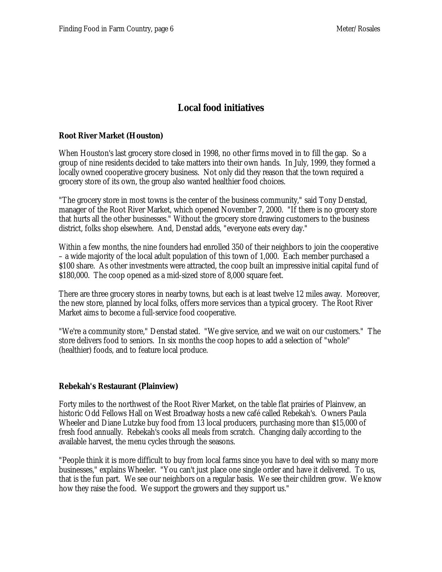# **Local food initiatives**

#### **Root River Market (Houston)**

When Houston's last grocery store closed in 1998, no other firms moved in to fill the gap. So a group of nine residents decided to take matters into their own hands. In July, 1999, they formed a locally owned cooperative grocery business. Not only did they reason that the town required a grocery store of its own, the group also wanted healthier food choices.

"The grocery store in most towns is the center of the business community," said Tony Denstad, manager of the Root River Market, which opened November 7, 2000. "If there is no grocery store that hurts all the other businesses." Without the grocery store drawing customers to the business district, folks shop elsewhere. And, Denstad adds, "everyone eats every day."

Within a few months, the nine founders had enrolled 350 of their neighbors to join the cooperative – a wide majority of the local adult population of this town of 1,000. Each member purchased a \$100 share. As other investments were attracted, the coop built an impressive initial capital fund of \$180,000. The coop opened as a mid-sized store of 8,000 square feet.

There are three grocery stores in nearby towns, but each is at least twelve 12 miles away. Moreover, the new store, planned by local folks, offers more services than a typical grocery. The Root River Market aims to become a full-service food cooperative.

"We're a community store," Denstad stated. "We give service, and we wait on our customers." The store delivers food to seniors. In six months the coop hopes to add a selection of "whole" (healthier) foods, and to feature local produce.

#### **Rebekah's Restaurant (Plainview)**

Forty miles to the northwest of the Root River Market, on the table flat prairies of Plainvew, an historic Odd Fellows Hall on West Broadway hosts a new café called Rebekah's. Owners Paula Wheeler and Diane Lutzke buy food from 13 local producers, purchasing more than \$15,000 of fresh food annually. Rebekah's cooks all meals from scratch. Changing daily according to the available harvest, the menu cycles through the seasons.

"People think it is more difficult to buy from local farms since you have to deal with so many more businesses," explains Wheeler. "You can't just place one single order and have it delivered. To us, that is the fun part. We see our neighbors on a regular basis. We see their children grow. We know how they raise the food. We support the growers and they support us."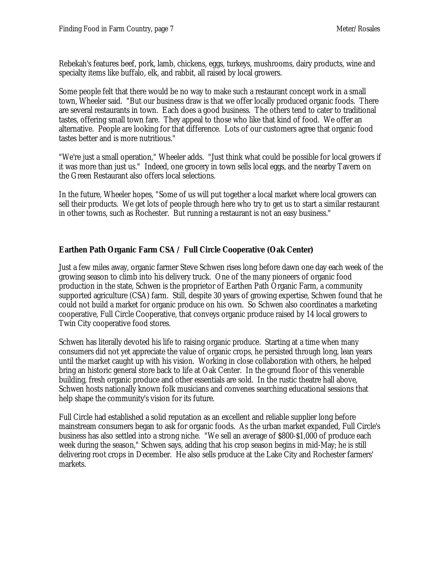Rebekah's features beef, pork, lamb, chickens, eggs, turkeys, mushrooms, dairy products, wine and specialty items like buffalo, elk, and rabbit, all raised by local growers.

Some people felt that there would be no way to make such a restaurant concept work in a small town, Wheeler said. "But our business draw is that we offer locally produced organic foods. There are several restaurants in town. Each does a good business. The others tend to cater to traditional tastes, offering small town fare. They appeal to those who like that kind of food. We offer an alternative. People are looking for that difference. Lots of our customers agree that organic food tastes better and is more nutritious."

"We're just a small operation," Wheeler adds. "Just think what could be possible for local growers if it was more than just us." Indeed, one grocery in town sells local eggs, and the nearby Tavern on the Green Restaurant also offers local selections.

In the future, Wheeler hopes, "Some of us will put together a local market where local growers can sell their products. We get lots of people through here who try to get us to start a similar restaurant in other towns, such as Rochester. But running a restaurant is not an easy business."

### **Earthen Path Organic Farm CSA / Full Circle Cooperative (Oak Center)**

Just a few miles away, organic farmer Steve Schwen rises long before dawn one day each week of the growing season to climb into his delivery truck. One of the many pioneers of organic food production in the state, Schwen is the proprietor of Earthen Path Organic Farm, a community supported agriculture (CSA) farm. Still, despite 30 years of growing expertise, Schwen found that he could not build a market for organic produce on his own. So Schwen also coordinates a marketing cooperative, Full Circle Cooperative, that conveys organic produce raised by 14 local growers to Twin City cooperative food stores.

Schwen has literally devoted his life to raising organic produce. Starting at a time when many consumers did not yet appreciate the value of organic crops, he persisted through long, lean years until the market caught up with his vision. Working in close collaboration with others, he helped bring an historic general store back to life at Oak Center. In the ground floor of this venerable building, fresh organic produce and other essentials are sold. In the rustic theatre hall above, Schwen hosts nationally known folk musicians and convenes searching educational sessions that help shape the community's vision for its future.

Full Circle had established a solid reputation as an excellent and reliable supplier long before mainstream consumers began to ask for organic foods. As the urban market expanded, Full Circle's business has also settled into a strong niche. "We sell an average of \$800-\$1,000 of produce each week during the season," Schwen says, adding that his crop season begins in mid-May; he is still delivering root crops in December. He also sells produce at the Lake City and Rochester farmers' markets.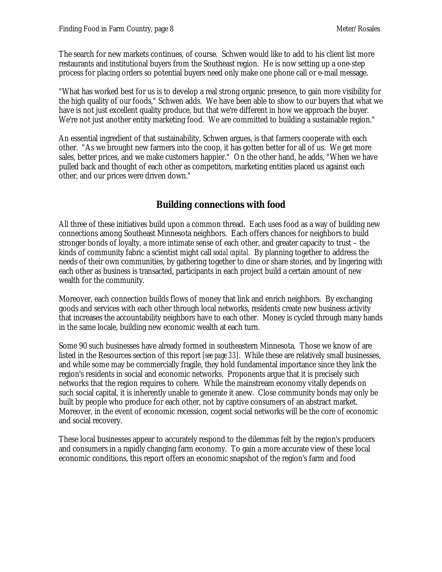The search for new markets continues, of course. Schwen would like to add to his client list more restaurants and institutional buyers from the Southeast region. He is now setting up a one-step process for placing orders so potential buyers need only make one phone call or e-mail message.

"What has worked best for us is to develop a real strong organic presence, to gain more visibility for the high quality of our foods," Schwen adds. We have been able to show to our buyers that what we have is not just excellent quality produce, but that we're different in how we approach the buyer. We're not just another entity marketing food. We are committed to building a sustainable region."

An essential ingredient of that sustainability, Schwen argues, is that farmers cooperate with each other. "As we brought new farmers into the coop, it has gotten better for all of us. We get more sales, better prices, and we make customers happier." On the other hand, he adds, "When we have pulled back and thought of each other as competitors, marketing entities placed us against each other, and our prices were driven down."

# **Building connections with food**

All three of these initiatives build upon a common thread. Each uses food as a way of building new connections among Southeast Minnesota neighbors. Each offers chances for neighbors to build stronger bonds of loyalty, a more intimate sense of each other, and greater capacity to trust – the kinds of community fabric a scientist might call *social capital.* By planning together to address the needs of their own communities, by gathering together to dine or share stories, and by lingering with each other as business is transacted, participants in each project build a certain amount of new wealth for the community.

Moreover, each connection builds flows of money that link and enrich neighbors. By exchanging goods and services with each other through local networks, residents create new business activity that increases the accountability neighbors have to each other. Money is cycled through many hands in the same locale, building new economic wealth at each turn.

Some 90 such businesses have already formed in southeastern Minnesota. Those we know of are listed in the Resources section of this report *[see page 33]*. While these are relatively small businesses, and while some may be commercially fragile, they hold fundamental importance since they link the region's residents in social and economic networks. Proponents argue that it is precisely such networks that the region requires to cohere. While the mainstream economy vitally depends on such social capital, it is inherently unable to generate it anew. Close community bonds may only be built by people who produce for each other, not by captive consumers of an abstract market. Moreover, in the event of economic recession, cogent social networks will be the core of economic and social recovery.

These local businesses appear to accurately respond to the dilemmas felt by the region's producers and consumers in a rapidly changing farm economy. To gain a more accurate view of these local economic conditions, this report offers an economic snapshot of the region's farm and food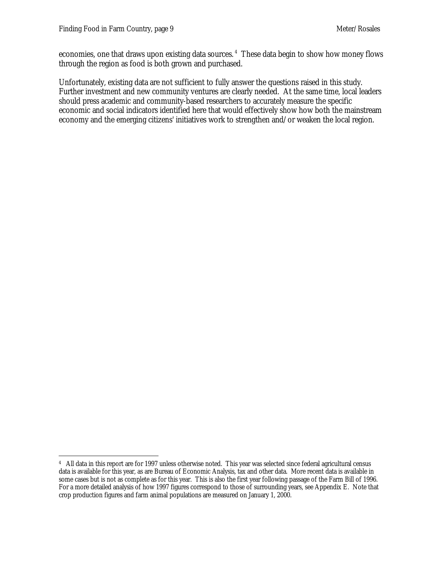economies, one that draws upon existing data sources.<sup>4</sup> These data begin to show how money flows through the region as food is both grown and purchased.

Unfortunately, existing data are not sufficient to fully answer the questions raised in this study. Further investment and new community ventures are clearly needed. At the same time, local leaders should press academic and community-based researchers to accurately measure the specific economic and social indicators identified here that would effectively show how both the mainstream economy and the emerging citizens' initiatives work to strengthen and/or weaken the local region.

 $\overline{a}$ 4 All data in this report are for 1997 unless otherwise noted. This year was selected since federal agricultural census data is available for this year, as are Bureau of Economic Analysis, tax and other data. More recent data is available in some cases but is not as complete as for this year. This is also the first year following passage of the Farm Bill of 1996. For a more detailed analysis of how 1997 figures correspond to those of surrounding years, see Appendix E. Note that crop production figures and farm animal populations are measured on January 1, 2000.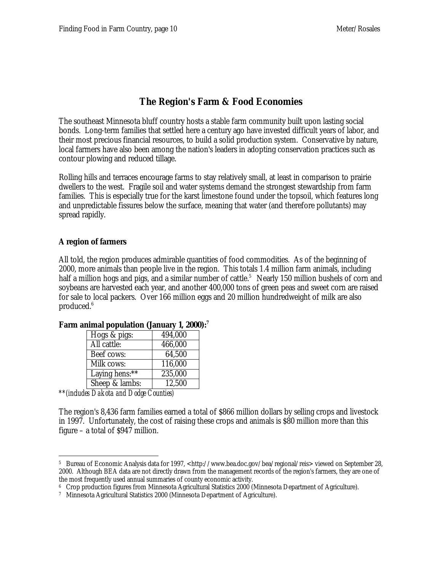# **The Region's Farm & Food Economies**

The southeast Minnesota bluff country hosts a stable farm community built upon lasting social bonds. Long-term families that settled here a century ago have invested difficult years of labor, and their most precious financial resources, to build a solid production system. Conservative by nature, local farmers have also been among the nation's leaders in adopting conservation practices such as contour plowing and reduced tillage.

Rolling hills and terraces encourage farms to stay relatively small, at least in comparison to prairie dwellers to the west. Fragile soil and water systems demand the strongest stewardship from farm families. This is especially true for the karst limestone found under the topsoil, which features long and unpredictable fissures below the surface, meaning that water (and therefore pollutants) may spread rapidly.

#### **A region of farmers**

All told, the region produces admirable quantities of food commodities. As of the beginning of 2000, more animals than people live in the region. This totals 1.4 million farm animals, including half a million hogs and pigs, and a similar number of cattle.<sup>5</sup> Nearly 150 million bushels of corn and soybeans are harvested each year, and another 400,000 tons of green peas and sweet corn are raised for sale to local packers. Over 166 million eggs and 20 million hundredweight of milk are also produced.<sup>6</sup>

| Hogs & pigs:   | 494,000 |
|----------------|---------|
| All cattle:    | 466,000 |
| Beef cows:     | 64,500  |
| Milk cows:     | 116,000 |
| Laying hens:** | 235,000 |
| Sheep & lambs: | 12,500  |
|                |         |

#### **Farm animal population (January 1, 2000):<sup>7</sup>**

*\*\*(includes Dakota and Dodge Counties)*

The region's 8,436 farm families earned a total of \$866 million dollars by selling crops and livestock in 1997. Unfortunately, the cost of raising these crops and animals is \$80 million more than this figure – a total of \$947 million.

 $\overline{a}$ <sup>5</sup> Bureau of Economic Analysis data for 1997, <http://www.bea.doc.gov/bea/regional/reis> viewed on September 28, 2000. Although BEA data are not directly drawn from the management records of the region's farmers, they are one of the most frequently used annual summaries of county economic activity.

<sup>6</sup> Crop production figures from Minnesota Agricultural Statistics 2000 (Minnesota Department of Agriculture).

<sup>7</sup> Minnesota Agricultural Statistics 2000 (Minnesota Department of Agriculture).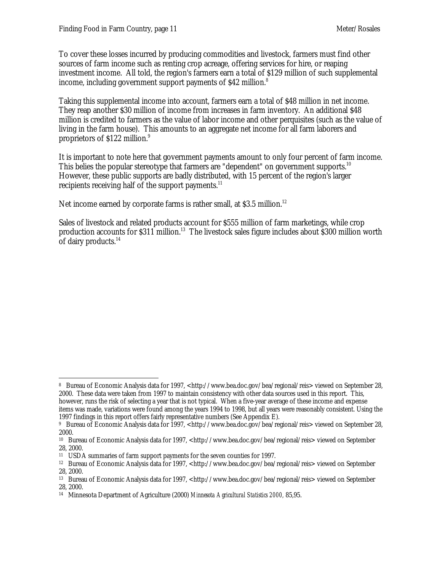To cover these losses incurred by producing commodities and livestock, farmers must find other sources of farm income such as renting crop acreage, offering services for hire, or reaping investment income. All told, the region's farmers earn a total of \$129 million of such supplemental income, including government support payments of \$42 million.<sup>8</sup>

Taking this supplemental income into account, farmers earn a total of \$48 million in net income. They reap another \$30 million of income from increases in farm inventory. An additional \$48 million is credited to farmers as the value of labor income and other perquisites (such as the value of living in the farm house). This amounts to an aggregate net income for all farm laborers and proprietors of \$122 million.<sup>9</sup>

It is important to note here that government payments amount to only four percent of farm income. This belies the popular stereotype that farmers are "dependent" on government supports.<sup>10</sup> However, these public supports are badly distributed, with 15 percent of the region's larger recipients receiving half of the support payments.<sup>11</sup>

Net income earned by corporate farms is rather small, at \$3.5 million.<sup>12</sup>

Sales of livestock and related products account for \$555 million of farm marketings, while crop production accounts for \$311 million.<sup>13</sup> The livestock sales figure includes about \$300 million worth of dairy products.<sup>14</sup>

 $\overline{a}$ 

<sup>8</sup> Bureau of Economic Analysis data for 1997, <http://www.bea.doc.gov/bea/regional/reis> viewed on September 28, 2000. These data were taken from 1997 to maintain consistency with other data sources used in this report. This, however, runs the risk of selecting a year that is not typical. When a five-year average of these income and expense items was made, variations were found among the years 1994 to 1998, but all years were reasonably consistent. Using the 1997 findings in this report offers fairly representative numbers (See Appendix E).

<sup>&</sup>lt;sup>9</sup> Bureau of Economic Analysis data for 1997, <http://www.bea.doc.gov/bea/regional/reis> viewed on September 28, 2000.

<sup>&</sup>lt;sup>10</sup> Bureau of Economic Analysis data for 1997, <http://www.bea.doc.gov/bea/regional/reis> viewed on September 28, 2000.

<sup>11</sup> USDA summaries of farm support payments for the seven counties for 1997.

<sup>&</sup>lt;sup>12</sup> Bureau of Economic Analysis data for 1997, <http://www.bea.doc.gov/bea/regional/reis> viewed on September 28, 2000.

<sup>&</sup>lt;sup>13</sup> Bureau of Economic Analysis data for 1997, <http://www.bea.doc.gov/bea/regional/reis> viewed on September 28, 2000.

<sup>14</sup> Minnesota Department of Agriculture (2000) *Minnesota Agricultural Statistics 2000,* 85,95.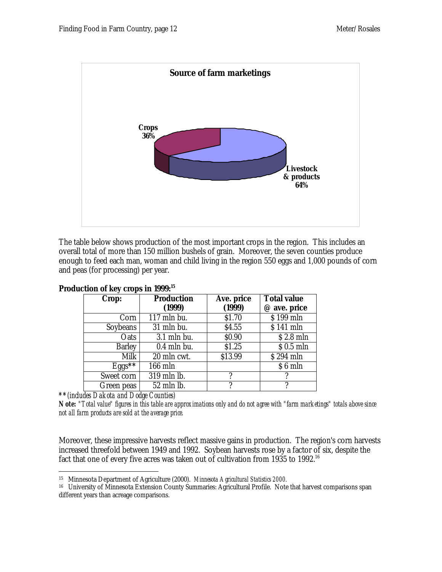

The table below shows production of the most important crops in the region. This includes an overall total of more than 150 million bushels of grain. Moreover, the seven counties produce enough to feed each man, woman and child living in the region 550 eggs and 1,000 pounds of corn and peas (for processing) per year.

| Crop:         | Production               | Ave. price | <b>Total value</b> |
|---------------|--------------------------|------------|--------------------|
|               | (1999)                   | (1999)     | @ ave. price       |
| Corn          | $\overline{117}$ mln bu. | \$1.70     | \$199 mln          |
| Soybeans      | 31 mln bu.               | \$4.55     | \$141 mln          |
| Oats          | $3.1$ mln bu.            | \$0.90     | $$2.8$ mln         |
| <b>Barley</b> | $0.4$ mln bu.            | \$1.25     | $$0.5$ mln         |
| Milk          | 20 mln cwt.              | \$13.99    | \$294 mln          |
| $Eggs***$     | 166 mln                  |            | \$6 mln            |
| Sweet corn    | 319 mln lb.              |            |                    |
| Green peas    | 52 mln lb.               |            |                    |

#### **Production of key crops in 1999:<sup>15</sup>**

*\*\*(includes Dakota and Dodge Counties)*

*Note: "Total value" figures in this table are approximations only and do not agree with "farm marketings" totals above since not all farm products are sold at the average price.*

Moreover, these impressive harvests reflect massive gains in production. The region's corn harvests increased threefold between 1949 and 1992. Soybean harvests rose by a factor of six, despite the fact that one of every five acres was taken out of cultivation from 1935 to 1992.<sup>16</sup>

 $\ddot{\phantom{a}}$ <sup>15</sup> Minnesota Department of Agriculture (2000). *Minnesota Agricultural Statistics 2000.*

<sup>16</sup> University of Minnesota Extension County Summaries: Agricultural Profile. Note that harvest comparisons span different years than acreage comparisons.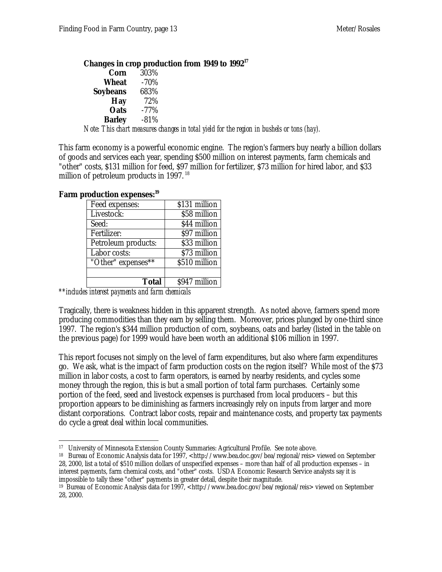**Changes in crop production from 1949 to 1992<sup>17</sup>**

| Corn          | 303%   |
|---------------|--------|
| Wheat         | $-70%$ |
| Soybeans      | 683%   |
| Hay           | 72%    |
| <b>Oats</b>   | -77%   |
| <b>Barley</b> | $-81%$ |

*Note: This chart measures changes in total yield for the region in bushels or tons (hay).*

This farm economy is a powerful economic engine. The region's farmers buy nearly a billion dollars of goods and services each year, spending \$500 million on interest payments, farm chemicals and "other" costs, \$131 million for feed, \$97 million for fertilizer, \$73 million for hired labor, and \$33 million of petroleum products in 1997.  $18$ 

| Feed expenses:      | \$131 million |
|---------------------|---------------|
| Livestock:          | \$58 million  |
| Seed:               | \$44 million  |
| Fertilizer:         | \$97 million  |
| Petroleum products: | \$33 million  |
| Labor costs:        | \$73 million  |
| "Other" expenses**  | \$510 million |
|                     |               |
| <b>Total</b>        | \$947 million |

#### **Farm production expenses:<sup>19</sup>**

*\*\*includes interest payments and farm chemicals*

Tragically, there is weakness hidden in this apparent strength. As noted above, farmers spend more producing commodities than they earn by selling them. Moreover, prices plunged by one-third since 1997. The region's \$344 million production of corn, soybeans, oats and barley (listed in the table on the previous page) for 1999 would have been worth an additional \$106 million in 1997.

This report focuses not simply on the level of farm expenditures, but also where farm expenditures go. We ask, what is the impact of farm production costs on the region itself? While most of the \$73 million in labor costs, a cost to farm operators, is earned by nearby residents, and cycles some money through the region, this is but a small portion of total farm purchases. Certainly some portion of the feed, seed and livestock expenses is purchased from local producers – but this proportion appears to be diminishing as farmers increasingly rely on inputs from larger and more distant corporations. Contract labor costs, repair and maintenance costs, and property tax payments do cycle a great deal within local communities.

 $\ddot{\phantom{a}}$ <sup>17</sup> University of Minnesota Extension County Summaries: Agricultural Profile. See note above.

<sup>&</sup>lt;sup>18</sup> Bureau of Economic Analysis data for 1997, <http://www.bea.doc.gov/bea/regional/reis> viewed on September 28, 2000, list a total of \$510 million dollars of unspecified expenses – more than half of all production expenses – in interest payments, farm chemical costs, and "other" costs. USDA Economic Research Service analysts say it is impossible to tally these "other" payments in greater detail, despite their magnitude.

<sup>&</sup>lt;sup>19</sup> Bureau of Economic Analysis data for 1997, <http://www.bea.doc.gov/bea/regional/reis> viewed on September 28, 2000.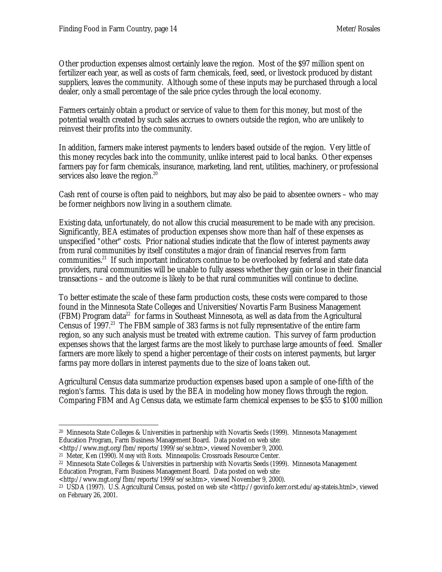Other production expenses almost certainly leave the region. Most of the \$97 million spent on fertilizer each year, as well as costs of farm chemicals, feed, seed, or livestock produced by distant suppliers, leaves the community. Although some of these inputs may be purchased through a local dealer, only a small percentage of the sale price cycles through the local economy.

Farmers certainly obtain a product or service of value to them for this money, but most of the potential wealth created by such sales accrues to owners outside the region, who are unlikely to reinvest their profits into the community.

In addition, farmers make interest payments to lenders based outside of the region. Very little of this money recycles back into the community, unlike interest paid to local banks. Other expenses farmers pay for farm chemicals, insurance, marketing, land rent, utilities, machinery, or professional services also leave the region.<sup>20</sup>

Cash rent of course is often paid to neighbors, but may also be paid to absentee owners – who may be former neighbors now living in a southern climate.

Existing data, unfortunately, do not allow this crucial measurement to be made with any precision. Significantly, BEA estimates of production expenses show more than half of these expenses as unspecified "other" costs. Prior national studies indicate that the flow of interest payments away from rural communities by itself constitutes a major drain of financial reserves from farm communities.<sup>21</sup> If such important indicators continue to be overlooked by federal and state data providers, rural communities will be unable to fully assess whether they gain or lose in their financial transactions – and the outcome is likely to be that rural communities will continue to decline.

To better estimate the scale of these farm production costs, these costs were compared to those found in the Minnesota State Colleges and Universities/Novartis Farm Business Management  $(FBM)$  Program data<sup>22</sup> for farms in Southeast Minnesota, as well as data from the Agricultural Census of 1997.<sup>23</sup> The FBM sample of 383 farms is not fully representative of the entire farm region, so any such analysis must be treated with extreme caution. This survey of farm production expenses shows that the largest farms are the most likely to purchase large amounts of feed. Smaller farmers are more likely to spend a higher percentage of their costs on interest payments, but larger farms pay more dollars in interest payments due to the size of loans taken out.

Agricultural Census data summarize production expenses based upon a sample of one-fifth of the region's farms. This data is used by the BEA in modeling how money flows through the region. Comparing FBM and Ag Census data, we estimate farm chemical expenses to be \$55 to \$100 million

<sup>22</sup> Minnesota State Colleges & Universities in partnership with Novartis Seeds (1999). Minnesota Management Education Program, Farm Business Management Board. Data posted on web site:

 $\overline{a}$ <sup>20</sup> Minnesota State Colleges & Universities in partnership with Novartis Seeds (1999). Minnesota Management Education Program, Farm Business Management Board. Data posted on web site:

<sup>&</sup>lt;http://www.mgt.org/fbm/reports/1999/se/se.htm>, viewed November 9, 2000.

<sup>21</sup> Meter, Ken (1990). *Money with Roots.* Minneapolis: Crossroads Resource Center.

<sup>&</sup>lt;http://www.mgt.org/fbm/reports/1999/se/se.htm>, viewed November 9, 2000).

<sup>23</sup> USDA (1997). U.S. Agricultural Census, posted on web site <http://govinfo.kerr.orst.edu/ag-stateis.html>, viewed on February 26, 2001.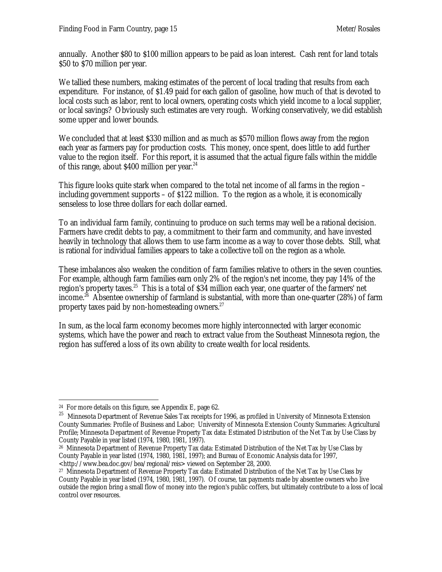annually. Another \$80 to \$100 million appears to be paid as loan interest. Cash rent for land totals \$50 to \$70 million per year.

We tallied these numbers, making estimates of the percent of local trading that results from each expenditure. For instance, of \$1.49 paid for each gallon of gasoline, how much of that is devoted to local costs such as labor, rent to local owners, operating costs which yield income to a local supplier, or local savings? Obviously such estimates are very rough. Working conservatively, we did establish some upper and lower bounds.

We concluded that at least \$330 million and as much as \$570 million flows away from the region each year as farmers pay for production costs. This money, once spent, does little to add further value to the region itself. For this report, it is assumed that the actual figure falls within the middle of this range, about \$400 million per year.<sup>24</sup>

This figure looks quite stark when compared to the total net income of all farms in the region – including government supports – of \$122 million. To the region as a whole, it is economically senseless to lose three dollars for each dollar earned.

To an individual farm family, continuing to produce on such terms may well be a rational decision. Farmers have credit debts to pay, a commitment to their farm and community, and have invested heavily in technology that allows them to use farm income as a way to cover those debts. Still, what is rational for individual families appears to take a collective toll on the region as a whole.

These imbalances also weaken the condition of farm families relative to others in the seven counties. For example, although farm families earn only 2% of the region's net income, they pay 14% of the region's property taxes.<sup>25</sup> This is a total of \$34 million each year, one quarter of the farmers' net income.<sup>26</sup> Absentee ownership of farmland is substantial, with more than one-quarter (28%) of farm property taxes paid by non-homesteading owners.<sup>27</sup>

In sum, as the local farm economy becomes more highly interconnected with larger economic systems, which have the power and reach to extract value from the Southeast Minnesota region, the region has suffered a loss of its own ability to create wealth for local residents.

**<sup>-</sup>**<sup>24</sup> For more details on this figure, see Appendix E, page  $62$ .

 $^{25}\,$  Minnesota Department of Revenue Sales Tax receipts for 1996, as profiled in University of Minnesota Extension County Summaries: Profile of Business and Labor; University of Minnesota Extension County Summaries: Agricultural Profile; Minnesota Department of Revenue Property Tax data: Estimated Distribution of the Net Tax by Use Class by County Payable in year listed (1974, 1980, 1981, 1997).

<sup>26</sup> Minnesota Department of Revenue Property Tax data: Estimated Distribution of the Net Tax by Use Class by County Payable in year listed (1974, 1980, 1981, 1997); and Bureau of Economic Analysis data for 1997, <http://www.bea.doc.gov/bea/regional/reis> viewed on September 28, 2000.

<sup>27</sup> Minnesota Department of Revenue Property Tax data: Estimated Distribution of the Net Tax by Use Class by County Payable in year listed (1974, 1980, 1981, 1997). Of course, tax payments made by absentee owners who live outside the region bring a small flow of money into the region's public coffers, but ultimately contribute to a loss of local control over resources.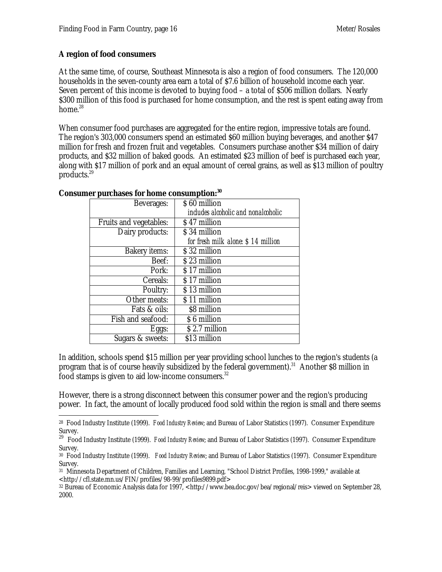#### **A region of food consumers**

At the same time, of course, Southeast Minnesota is also a region of food consumers. The 120,000 households in the seven-county area earn a total of \$7.6 billion of household income each year. Seven percent of this income is devoted to buying food – a total of \$506 million dollars. Nearly \$300 million of this food is purchased for home consumption, and the rest is spent eating away from home. $28$ 

When consumer food purchases are aggregated for the entire region, impressive totals are found. The region's 303,000 consumers spend an estimated \$60 million buying beverages, and another \$47 million for fresh and frozen fruit and vegetables. Consumers purchase another \$34 million of dairy products, and \$32 million of baked goods. An estimated \$23 million of beef is purchased each year, along with \$17 million of pork and an equal amount of cereal grains, as well as \$13 million of poultry products.<sup>29</sup>

| Beverages:             | \$60 million                        |
|------------------------|-------------------------------------|
|                        | includes alcoholic and nonalcoholic |
| Fruits and vegetables: | \$47 million                        |
| Dairy products:        | \$34 million                        |
|                        | for fresh milk alone: \$14 million  |
| Bakery items:          | \$32 million                        |
| Beef:                  | \$23 million                        |
| Pork:                  | \$17 million                        |
| Cereals:               | \$17 million                        |
| Poultry:               | \$13 million                        |
| Other meats:           | \$11 million                        |
| Fats & oils:           | \$8 million                         |
| Fish and seafood:      | \$6 million                         |
| Eggs:                  | \$2.7 million                       |
| Sugars & sweets:       | \$13 million                        |
|                        |                                     |

#### **Consumer purchases for home consumption:<sup>30</sup>**

In addition, schools spend \$15 million per year providing school lunches to the region's students (a program that is of course heavily subsidized by the federal government).<sup>31</sup> Another \$8 million in food stamps is given to aid low-income consumers.<sup>32</sup>

However, there is a strong disconnect between this consumer power and the region's producing power. In fact, the amount of locally produced food sold within the region is small and there seems

 $\overline{a}$ <sup>28</sup> Food Industry Institute (1999). *Food Industry Review*; and Bureau of Labor Statistics (1997). Consumer Expenditure Survey.

<sup>&</sup>lt;sup>29</sup> Food Industry Institute (1999). *Food Industry Review*; and Bureau of Labor Statistics (1997). Consumer Expenditure Survey.

<sup>30</sup> Food Industry Institute (1999). *Food Industry Review*; and Bureau of Labor Statistics (1997). Consumer Expenditure Survey.

<sup>31</sup> Minnesota Department of Children, Families and Learning, "School District Profiles, 1998-1999," available at <http://cfl.state.mn.us/FIN/profiles/98-99/profiles9899.pdf>

<sup>32</sup> Bureau of Economic Analysis data for 1997, <http://www.bea.doc.gov/bea/regional/reis> viewed on September 28, 2000.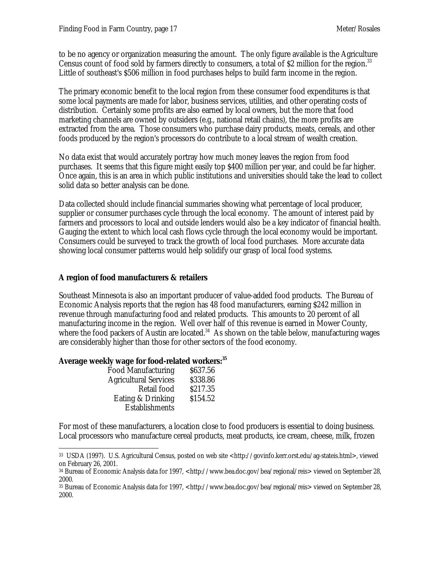to be no agency or organization measuring the amount. The only figure available is the Agriculture Census count of food sold by farmers directly to consumers, a total of \$2 million for the region.<sup>33</sup> Little of southeast's \$506 million in food purchases helps to build farm income in the region.

The primary economic benefit to the local region from these consumer food expenditures is that some local payments are made for labor, business services, utilities, and other operating costs of distribution. Certainly some profits are also earned by local owners, but the more that food marketing channels are owned by outsiders (e.g., national retail chains), the more profits are extracted from the area. Those consumers who purchase dairy products, meats, cereals, and other foods produced by the region's processors do contribute to a local stream of wealth creation.

No data exist that would accurately portray how much money leaves the region from food purchases. It seems that this figure might easily top \$400 million per year, and could be far higher. Once again, this is an area in which public institutions and universities should take the lead to collect solid data so better analysis can be done.

Data collected should include financial summaries showing what percentage of local producer, supplier or consumer purchases cycle through the local economy. The amount of interest paid by farmers and processors to local and outside lenders would also be a key indicator of financial health. Gauging the extent to which local cash flows cycle through the local economy would be important. Consumers could be surveyed to track the growth of local food purchases. More accurate data showing local consumer patterns would help solidify our grasp of local food systems.

#### **A region of food manufacturers & retailers**

Southeast Minnesota is also an important producer of value-added food products. The Bureau of Economic Analysis reports that the region has 48 food manufacturers, earning \$242 million in revenue through manufacturing food and related products. This amounts to 20 percent of all manufacturing income in the region. Well over half of this revenue is earned in Mower County, where the food packers of Austin are located.<sup>34</sup> As shown on the table below, manufacturing wages are considerably higher than those for other sectors of the food economy.

#### **Average weekly wage for food-related workers:<sup>35</sup>**

| \$338.86<br><b>Agricultural Services</b> |  |
|------------------------------------------|--|
| \$217.35<br>Retail food                  |  |
| \$154.52<br>Eating & Drinking            |  |
| Establishments                           |  |

For most of these manufacturers, a location close to food producers is essential to doing business. Local processors who manufacture cereal products, meat products, ice cream, cheese, milk, frozen

 $\overline{a}$ <sup>33</sup> USDA (1997). U.S. Agricultural Census, posted on web site <http://govinfo.kerr.orst.edu/ag-stateis.html>, viewed on February 26, 2001.

<sup>34</sup> Bureau of Economic Analysis data for 1997, <http://www.bea.doc.gov/bea/regional/reis> viewed on September 28, 2000.

<sup>35</sup> Bureau of Economic Analysis data for 1997, <http://www.bea.doc.gov/bea/regional/reis> viewed on September 28, 2000.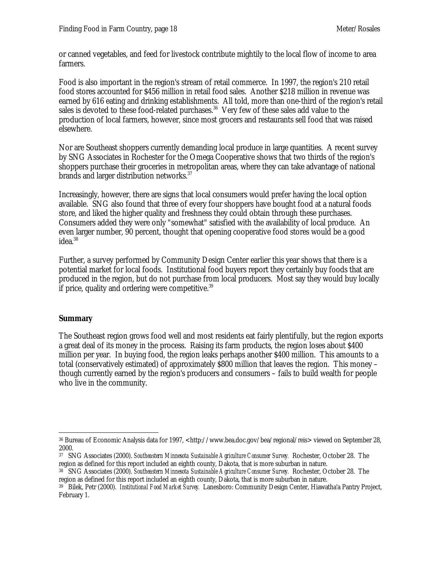or canned vegetables, and feed for livestock contribute mightily to the local flow of income to area farmers.

Food is also important in the region's stream of retail commerce. In 1997, the region's 210 retail food stores accounted for \$456 million in retail food sales. Another \$218 million in revenue was earned by 616 eating and drinking establishments. All told, more than one-third of the region's retail sales is devoted to these food-related purchases.<sup>36</sup> Very few of these sales add value to the production of local farmers, however, since most grocers and restaurants sell food that was raised elsewhere.

Nor are Southeast shoppers currently demanding local produce in large quantities. A recent survey by SNG Associates in Rochester for the Omega Cooperative shows that two thirds of the region's shoppers purchase their groceries in metropolitan areas, where they can take advantage of national brands and larger distribution networks.<sup>37</sup>

Increasingly, however, there are signs that local consumers would prefer having the local option available. SNG also found that three of every four shoppers have bought food at a natural foods store, and liked the higher quality and freshness they could obtain through these purchases. Consumers added they were only "somewhat" satisfied with the availability of local produce. An even larger number, 90 percent, thought that opening cooperative food stores would be a good idea.<sup>38</sup>

Further, a survey performed by Community Design Center earlier this year shows that there is a potential market for local foods. Institutional food buyers report they certainly buy foods that are produced in the region, but do not purchase from local producers. Most say they would buy locally if price, quality and ordering were competitive.<sup>39</sup>

### **Summary**

The Southeast region grows food well and most residents eat fairly plentifully, but the region exports a great deal of its money in the process. Raising its farm products, the region loses about \$400 million per year. In buying food, the region leaks perhaps another \$400 million. This amounts to a total (conservatively estimated) of approximately \$800 million that leaves the region. This money – though currently earned by the region's producers and consumers – fails to build wealth for people who live in the community.

 $\ddot{\phantom{a}}$ <sup>36</sup> Bureau of Economic Analysis data for 1997, <http://www.bea.doc.gov/bea/regional/reis> viewed on September 28, 2000.

<sup>37</sup> SNG Associates (2000). *Southeastern Minnesota Sustainable Agriculture Consumer Survey.* Rochester, October 28. The region as defined for this report included an eighth county, Dakota, that is more suburban in nature.

<sup>38</sup> SNG Associates (2000). *Southeastern Minnesota Sustainable Agriculture Consumer Survey.* Rochester, October 28. The region as defined for this report included an eighth county, Dakota, that is more suburban in nature.

<sup>39</sup> Bilek, Petr (2000). *Institutional Food Market Survey.* Lanesboro: Community Design Center, Hiawatha'a Pantry Project, February 1.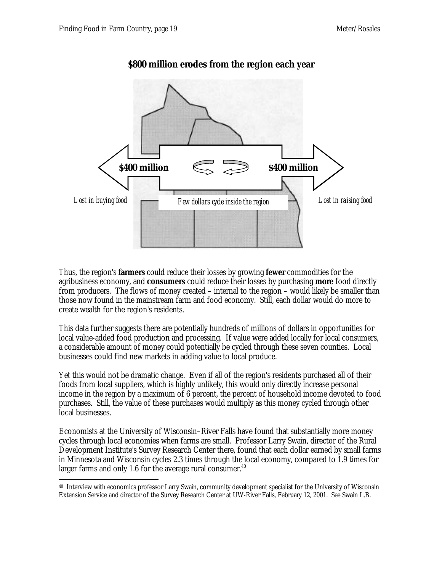

# **\$800 million erodes from the region each year**

Thus, the region's **farmers** could reduce their losses by growing **fewer** commodities for the agribusiness economy, and **consumers** could reduce their losses by purchasing **more** food directly from producers. The flows of money created – internal to the region – would likely be smaller than those now found in the mainstream farm and food economy. Still, each dollar would do more to create wealth for the region's residents.

This data further suggests there are potentially hundreds of millions of dollars in opportunities for local value-added food production and processing. If value were added locally for local consumers, a considerable amount of money could potentially be cycled through these seven counties. Local businesses could find new markets in adding value to local produce.

Yet this would not be dramatic change. Even if all of the region's residents purchased all of their foods from local suppliers, which is highly unlikely, this would only directly increase personal income in the region by a maximum of 6 percent, the percent of household income devoted to food purchases. Still, the value of these purchases would multiply as this money cycled through other local businesses.

Economists at the University of Wisconsin–River Falls have found that substantially more money cycles through local economies when farms are small. Professor Larry Swain, director of the Rural Development Institute's Survey Research Center there, found that each dollar earned by small farms in Minnesota and Wisconsin cycles 2.3 times through the local economy, compared to 1.9 times for larger farms and only 1.6 for the average rural consumer. $40$ 

 $\ddot{\phantom{a}}$ <sup>40</sup> Interview with economics professor Larry Swain, community development specialist for the University of Wisconsin Extension Service and director of the Survey Research Center at UW-River Falls, February 12, 2001. See Swain L.B.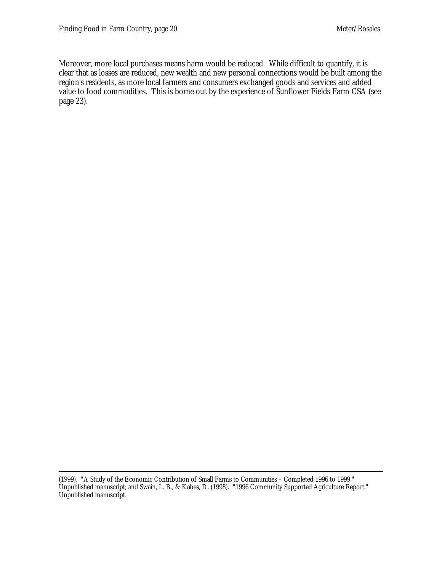Moreover, more local purchases means harm would be reduced. While difficult to quantify, it is clear that as losses are reduced, new wealth and new personal connections would be built among the region's residents, as more local farmers and consumers exchanged goods and services and added value to food commodities. This is borne out by the experience of Sunflower Fields Farm CSA (see page 23).

 $\ddot{\phantom{a}}$ (1999). "A Study of the Economic Contribution of Small Farms to Communities – Completed 1996 to 1999." Unpublished manuscript; and Swain, L. B., & Kabes, D. (1998). "1996 Community Supported Agriculture Report." Unpublished manuscript.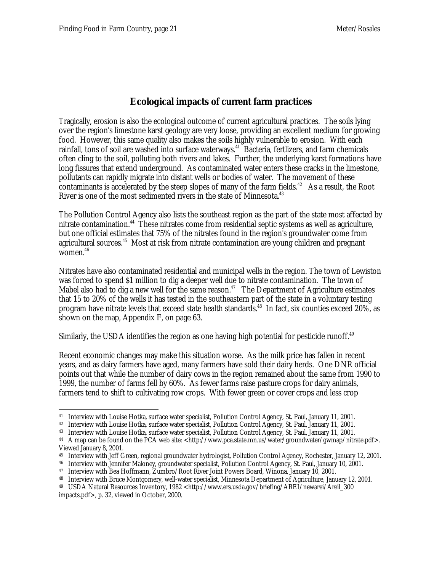# **Ecological impacts of current farm practices**

Tragically, erosion is also the ecological outcome of current agricultural practices. The soils lying over the region's limestone karst geology are very loose, providing an excellent medium for growing food. However, this same quality also makes the soils highly vulnerable to erosion. With each rainfall, tons of soil are washed into surface waterways.<sup>41</sup> Bacteria, fertlizers, and farm chemicals often cling to the soil, polluting both rivers and lakes. Further, the underlying karst formations have long fissures that extend underground. As contaminated water enters these cracks in the limestone, pollutants can rapidly migrate into distant wells or bodies of water. The movement of these contaminants is accelerated by the steep slopes of many of the farm fields.<sup>42</sup> As a result, the Root River is one of the most sedimented rivers in the state of Minnesota. $43$ 

The Pollution Control Agency also lists the southeast region as the part of the state most affected by nitrate contamination.<sup>44</sup> These nitrates come from residential septic systems as well as agriculture, but one official estimates that 75% of the nitrates found in the region's groundwater come from agricultural sources.<sup>45</sup> Most at risk from nitrate contamination are young children and pregnant women.<sup>46</sup>

Nitrates have also contaminated residential and municipal wells in the region. The town of Lewiston was forced to spend \$1 million to dig a deeper well due to nitrate contamination. The town of Mabel also had to dig a new well for the same reason.<sup>47</sup> The Department of Agriculture estimates that 15 to 20% of the wells it has tested in the southeastern part of the state in a voluntary testing program have nitrate levels that exceed state health standards.<sup>48</sup> In fact, six counties exceed 20%, as shown on the map, Appendix F, on page 63.

Similarly, the USDA identifies the region as one having high potential for pesticide runoff.<sup>49</sup>

Recent economic changes may make this situation worse. As the milk price has fallen in recent years, and as dairy farmers have aged, many farmers have sold their dairy herds. One DNR official points out that while the number of dairy cows in the region remained about the same from 1990 to 1999, the number of farms fell by 60%. As fewer farms raise pasture crops for dairy animals, farmers tend to shift to cultivating row crops. With fewer green or cover crops and less crop

 $\overline{a}$ <sup>41</sup> Interview with Louise Hotka, surface water specialist, Pollution Control Agency, St. Paul, January 11, 2001.

<sup>42</sup> Interview with Louise Hotka, surface water specialist, Pollution Control Agency, St. Paul, January 11, 2001.

<sup>43</sup> Interview with Louise Hotka, surface water specialist, Pollution Control Agency, St. Paul, January 11, 2001.

<sup>&</sup>lt;sup>44</sup> A map can be found on the PCA web site:  $\frac{\text{http://www.pca.state.mn.us/water/groundwater/gwmap/intrate.pdf}{\text{http://www.pca.state.mn.us/water/groundwater/gwmap/intrate.pdf}}$ Viewed January 8, 2001.

<sup>45</sup> Interview with Jeff Green, regional groundwater hydrologist, Pollution Control Agency, Rochester, January 12, 2001.

<sup>46</sup> Interview with Jennifer Maloney, groundwater specialist, Pollution Control Agency, St. Paul, January 10, 2001.

<sup>47</sup> Interview with Bea Hoffmann, Zumbro/Root River Joint Powers Board, Winona, January 10, 2001.

<sup>48</sup> Interview with Bruce Montgomery, well-water specialist, Minnesota Department of Agriculture, January 12, 2001.

<sup>49</sup> USDA Natural Resources Inventory, 1982 <http://www.ers.usda.gov/briefing/AREI/newarei/Areil\_300 impacts.pdf>, p. 32, viewed in October, 2000.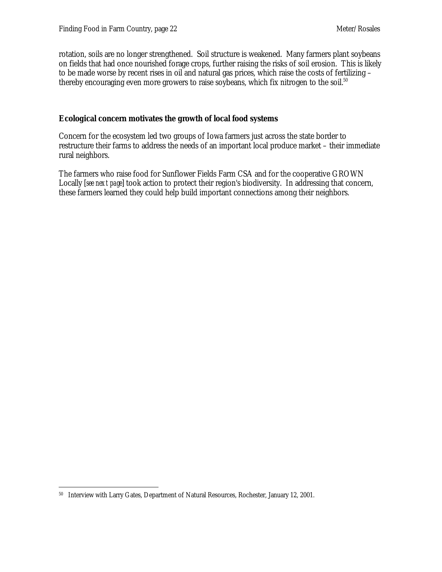rotation, soils are no longer strengthened. Soil structure is weakened. Many farmers plant soybeans on fields that had once nourished forage crops, further raising the risks of soil erosion. This is likely to be made worse by recent rises in oil and natural gas prices, which raise the costs of fertilizing – thereby encouraging even more growers to raise soybeans, which fix nitrogen to the soil.<sup>50</sup>

#### **Ecological concern motivates the growth of local food systems**

Concern for the ecosystem led two groups of Iowa farmers just across the state border to restructure their farms to address the needs of an important local produce market – their immediate rural neighbors.

The farmers who raise food for Sunflower Fields Farm CSA and for the cooperative GROWN Locally [*see next page*] took action to protect their region's biodiversity. In addressing that concern, these farmers learned they could help build important connections among their neighbors.

 $\overline{a}$ 50 Interview with Larry Gates, Department of Natural Resources, Rochester, January 12, 2001.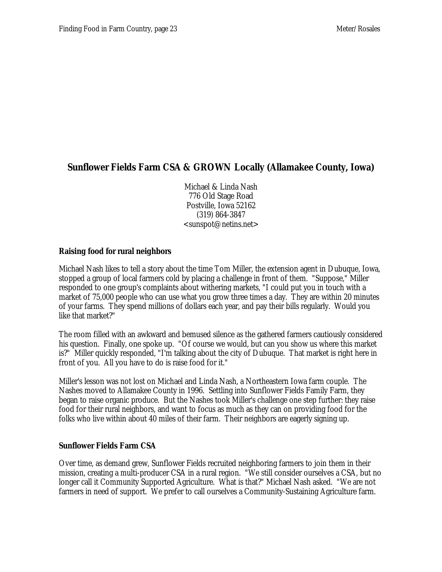# **Sunflower Fields Farm CSA & GROWN Locally (Allamakee County, Iowa)**

Michael & Linda Nash 776 Old Stage Road Postville, Iowa 52162 (319) 864-3847 <sunspot@netins.net>

#### **Raising food for rural neighbors**

Michael Nash likes to tell a story about the time Tom Miller, the extension agent in Dubuque, Iowa, stopped a group of local farmers cold by placing a challenge in front of them. "Suppose," Miller responded to one group's complaints about withering markets, "I could put you in touch with a market of 75,000 people who can use what you grow three times a day. They are within 20 minutes of your farms. They spend millions of dollars each year, and pay their bills regularly. Would you like that market?"

The room filled with an awkward and bemused silence as the gathered farmers cautiously considered his question. Finally, one spoke up. "Of course we would, but can you show us where this market is?" Miller quickly responded, "I'm talking about the city of Dubuque. That market is right here in front of you. All you have to do is raise food for it."

Miller's lesson was not lost on Michael and Linda Nash, a Northeastern Iowa farm couple. The Nashes moved to Allamakee County in 1996. Settling into Sunflower Fields Family Farm, they began to raise organic produce. But the Nashes took Miller's challenge one step further: they raise food for their rural neighbors, and want to focus as much as they can on providing food for the folks who live within about 40 miles of their farm. Their neighbors are eagerly signing up.

#### **Sunflower Fields Farm CSA**

Over time, as demand grew, Sunflower Fields recruited neighboring farmers to join them in their mission, creating a multi-producer CSA in a rural region. "We still consider ourselves a CSA, but no longer call it Community Supported Agriculture. What is that?" Michael Nash asked. "We are not farmers in need of support. We prefer to call ourselves a Community-Sustaining Agriculture farm.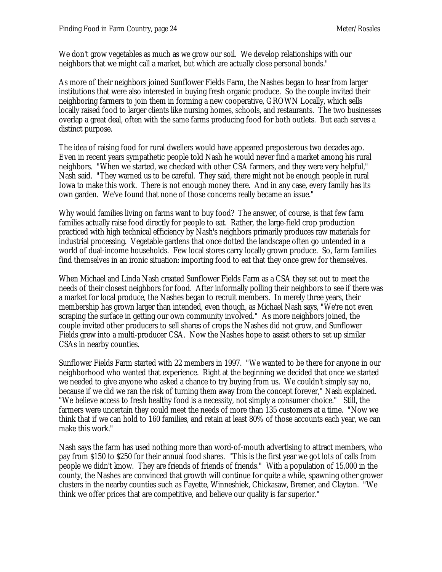We don't grow vegetables as much as we grow our soil. We develop relationships with our neighbors that we might call a market, but which are actually close personal bonds."

As more of their neighbors joined Sunflower Fields Farm, the Nashes began to hear from larger institutions that were also interested in buying fresh organic produce. So the couple invited their neighboring farmers to join them in forming a new cooperative, GROWN Locally, which sells locally raised food to larger clients like nursing homes, schools, and restaurants. The two businesses overlap a great deal, often with the same farms producing food for both outlets. But each serves a distinct purpose.

The idea of raising food for rural dwellers would have appeared preposterous two decades ago. Even in recent years sympathetic people told Nash he would never find a market among his rural neighbors. "When we started, we checked with other CSA farmers, and they were very helpful," Nash said. "They warned us to be careful. They said, there might not be enough people in rural Iowa to make this work. There is not enough money there. And in any case, every family has its own garden. We've found that none of those concerns really became an issue."

Why would families living on farms want to buy food? The answer, of course, is that few farm families actually raise food directly for people to eat. Rather, the large-field crop production practiced with high technical efficiency by Nash's neighbors primarily produces raw materials for industrial processing. Vegetable gardens that once dotted the landscape often go untended in a world of dual-income households. Few local stores carry locally grown produce. So, farm families find themselves in an ironic situation: importing food to eat that they once grew for themselves.

When Michael and Linda Nash created Sunflower Fields Farm as a CSA they set out to meet the needs of their closest neighbors for food. After informally polling their neighbors to see if there was a market for local produce, the Nashes began to recruit members. In merely three years, their membership has grown larger than intended, even though, as Michael Nash says, "We're not even scraping the surface in getting our own community involved." As more neighbors joined, the couple invited other producers to sell shares of crops the Nashes did not grow, and Sunflower Fields grew into a multi-producer CSA. Now the Nashes hope to assist others to set up similar CSAs in nearby counties.

Sunflower Fields Farm started with 22 members in 1997. "We wanted to be there for anyone in our neighborhood who wanted that experience. Right at the beginning we decided that once we started we needed to give anyone who asked a chance to try buying from us. We couldn't simply say no, because if we did we ran the risk of turning them away from the concept forever," Nash explained. "We believe access to fresh healthy food is a necessity, not simply a consumer choice." Still, the farmers were uncertain they could meet the needs of more than 135 customers at a time. "Now we think that if we can hold to 160 families, and retain at least 80% of those accounts each year, we can make this work."

Nash says the farm has used nothing more than word-of-mouth advertising to attract members, who pay from \$150 to \$250 for their annual food shares. "This is the first year we got lots of calls from people we didn't know. They are friends of friends of friends." With a population of 15,000 in the county, the Nashes are convinced that growth will continue for quite a while, spawning other grower clusters in the nearby counties such as Fayette, Winneshiek, Chickasaw, Bremer, and Clayton. "We think we offer prices that are competitive, and believe our quality is far superior."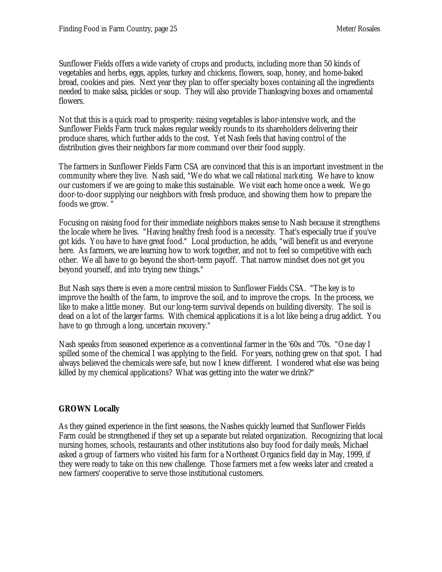Sunflower Fields offers a wide variety of crops and products, including more than 50 kinds of vegetables and herbs, eggs, apples, turkey and chickens, flowers, soap, honey, and home-baked bread, cookies and pies. Next year they plan to offer specialty boxes containing all the ingredients needed to make salsa, pickles or soup. They will also provide Thanksgving boxes and ornamental flowers.

Not that this is a quick road to prosperity: raising vegetables is labor-intensive work, and the Sunflower Fields Farm truck makes regular weekly rounds to its shareholders delivering their produce shares, which further adds to the cost. Yet Nash feels that having control of the distribution gives their neighbors far more command over their food supply.

The farmers in Sunflower Fields Farm CSA are convinced that this is an important investment in the community where they live. Nash said, "We do what we call *relational marketing*. We have to know our customers if we are going to make this sustainable. We visit each home once a week. We go door-to-door supplying our neighbors with fresh produce, and showing them how to prepare the foods we grow. "

Focusing on raising food for their immediate neighbors makes sense to Nash because it strengthens the locale where he lives. "Having healthy fresh food is a necessity. That's especially true if you've got kids. You have to have great food." Local production, he adds, "will benefit us and everyone here. As farmers, we are learning how to work together, and not to feel so competitive with each other. We all have to go beyond the short-term payoff. That narrow mindset does not get you beyond yourself, and into trying new things."

But Nash says there is even a more central mission to Sunflower Fields CSA. "The key is to improve the health of the farm, to improve the soil, and to improve the crops. In the process, we like to make a little money. But our long-term survival depends on building diversity. The soil is dead on a lot of the larger farms. With chemical applications it is a lot like being a drug addict. You have to go through a long, uncertain recovery."

Nash speaks from seasoned experience as a conventional farmer in the '60s and '70s. "One day I spilled some of the chemical I was applying to the field. For years, nothing grew on that spot. I had always believed the chemicals were safe, but now I knew different. I wondered what else was being killed by my chemical applications? What was getting into the water we drink?"

### **GROWN Locally**

As they gained experience in the first seasons, the Nashes quickly learned that Sunflower Fields Farm could be strengthened if they set up a separate but related organization. Recognizing that local nursing homes, schools, restaurants and other institutions also buy food for daily meals, Michael asked a group of farmers who visited his farm for a Northeast Organics field day in May, 1999, if they were ready to take on this new challenge. Those farmers met a few weeks later and created a new farmers' cooperative to serve those institutional customers.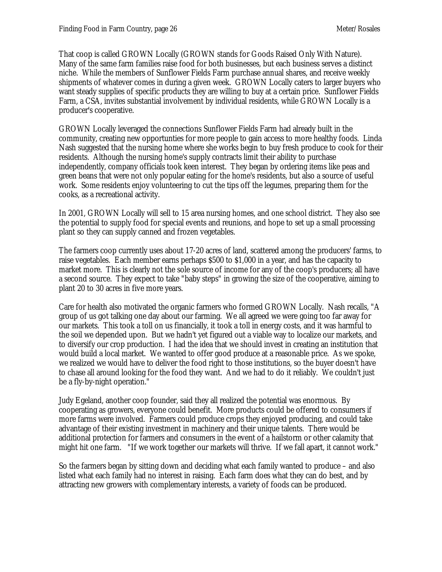That coop is called GROWN Locally (GROWN stands for Goods Raised Only With Nature). Many of the same farm families raise food for both businesses, but each business serves a distinct niche. While the members of Sunflower Fields Farm purchase annual shares, and receive weekly shipments of whatever comes in during a given week. GROWN Locally caters to larger buyers who want steady supplies of specific products they are willing to buy at a certain price. Sunflower Fields Farm, a CSA, invites substantial involvement by individual residents, while GROWN Locally is a producer's cooperative.

GROWN Locally leveraged the connections Sunflower Fields Farm had already built in the community, creating new opportunties for more people to gain access to more healthy foods. Linda Nash suggested that the nursing home where she works begin to buy fresh produce to cook for their residents. Although the nursing home's supply contracts limit their ability to purchase independently, company officials took keen interest. They began by ordering items like peas and green beans that were not only popular eating for the home's residents, but also a source of useful work. Some residents enjoy volunteering to cut the tips off the legumes, preparing them for the cooks, as a recreational activity.

In 2001, GROWN Locally will sell to 15 area nursing homes, and one school district. They also see the potential to supply food for special events and reunions, and hope to set up a small processing plant so they can supply canned and frozen vegetables.

The farmers coop currently uses about 17-20 acres of land, scattered among the producers' farms, to raise vegetables. Each member earns perhaps \$500 to \$1,000 in a year, and has the capacity to market more. This is clearly not the sole source of income for any of the coop's producers; all have a second source. They expect to take "baby steps" in growing the size of the cooperative, aiming to plant 20 to 30 acres in five more years.

Care for health also motivated the organic farmers who formed GROWN Locally. Nash recalls, "A group of us got talking one day about our farming. We all agreed we were going too far away for our markets. This took a toll on us financially, it took a toll in energy costs, and it was harmful to the soil we depended upon. But we hadn't yet figured out a viable way to localize our markets, and to diversify our crop production. I had the idea that we should invest in creating an institution that would build a local market. We wanted to offer good produce at a reasonable price. As we spoke, we realized we would have to deliver the food right to those institutions, so the buyer doesn't have to chase all around looking for the food they want. And we had to do it reliably. We couldn't just be a fly-by-night operation."

Judy Egeland, another coop founder, said they all realized the potential was enormous. By cooperating as growers, everyone could benefit. More products could be offered to consumers if more farms were involved. Farmers could produce crops they enjoyed producing, and could take advantage of their existing investment in machinery and their unique talents. There would be additional protection for farmers and consumers in the event of a hailstorm or other calamity that might hit one farm. "If we work together our markets will thrive. If we fall apart, it cannot work."

So the farmers began by sitting down and deciding what each family wanted to produce – and also listed what each family had no interest in raising. Each farm does what they can do best, and by attracting new growers with complementary interests, a variety of foods can be produced.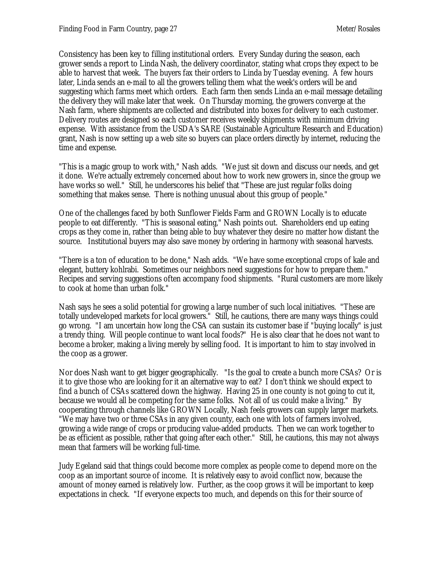Consistency has been key to filling institutional orders. Every Sunday during the season, each grower sends a report to Linda Nash, the delivery coordinator, stating what crops they expect to be able to harvest that week. The buyers fax their orders to Linda by Tuesday evening. A few hours later, Linda sends an e-mail to all the growers telling them what the week's orders will be and suggesting which farms meet which orders. Each farm then sends Linda an e-mail message detailing the delivery they will make later that week. On Thursday morning, the growers converge at the Nash farm, where shipments are collected and distributed into boxes for delivery to each customer. Delivery routes are designed so each customer receives weekly shipments with minimum driving expense. With assistance from the USDA's SARE (Sustainable Agriculture Research and Education) grant, Nash is now setting up a web site so buyers can place orders directly by internet, reducing the time and expense.

"This is a magic group to work with," Nash adds. "We just sit down and discuss our needs, and get it done. We're actually extremely concerned about how to work new growers in, since the group we have works so well." Still, he underscores his belief that "These are just regular folks doing something that makes sense. There is nothing unusual about this group of people."

One of the challenges faced by both Sunflower Fields Farm and GROWN Locally is to educate people to eat differently. "This is seasonal eating," Nash points out. Shareholders end up eating crops as they come in, rather than being able to buy whatever they desire no matter how distant the source. Institutional buyers may also save money by ordering in harmony with seasonal harvests.

"There is a ton of education to be done," Nash adds. "We have some exceptional crops of kale and elegant, buttery kohlrabi. Sometimes our neighbors need suggestions for how to prepare them." Recipes and serving suggestions often accompany food shipments. "Rural customers are more likely to cook at home than urban folk."

Nash says he sees a solid potential for growing a large number of such local initiatives. "These are totally undeveloped markets for local growers." Still, he cautions, there are many ways things could go wrong. "I am uncertain how long the CSA can sustain its customer base if "buying locally" is just a trendy thing. Will people continue to want local foods?" He is also clear that he does not want to become a broker, making a living merely by selling food. It is important to him to stay involved in the coop as a grower.

Nor does Nash want to get bigger geographically. "Is the goal to create a bunch more CSAs? Or is it to give those who are looking for it an alternative way to eat? I don't think we should expect to find a bunch of CSAs scattered down the highway. Having 25 in one county is not going to cut it, because we would all be competing for the same folks. Not all of us could make a living." By cooperating through channels like GROWN Locally, Nash feels growers can supply larger markets. "We may have two or three CSAs in any given county, each one with lots of farmers involved, growing a wide range of crops or producing value-added products. Then we can work together to be as efficient as possible, rather that going after each other." Still, he cautions, this may not always mean that farmers will be working full-time.

Judy Egeland said that things could become more complex as people come to depend more on the coop as an important source of income. It is relatively easy to avoid conflict now, because the amount of money earned is relatively low. Further, as the coop grows it will be important to keep expectations in check. "If everyone expects too much, and depends on this for their source of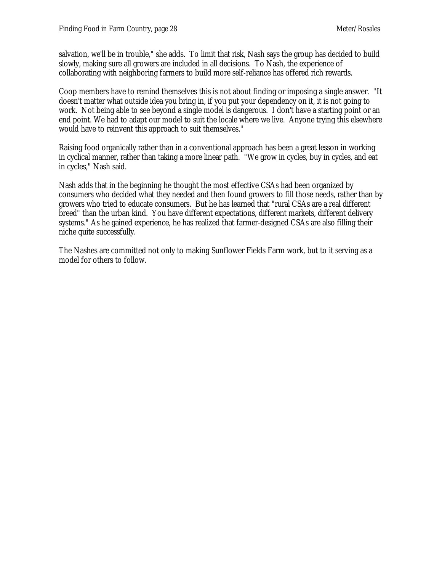salvation, we'll be in trouble," she adds. To limit that risk, Nash says the group has decided to build slowly, making sure all growers are included in all decisions. To Nash, the experience of collaborating with neighboring farmers to build more self-reliance has offered rich rewards.

Coop members have to remind themselves this is not about finding or imposing a single answer. "It doesn't matter what outside idea you bring in, if you put your dependency on it, it is not going to work. Not being able to see beyond a single model is dangerous. I don't have a starting point or an end point. We had to adapt our model to suit the locale where we live. Anyone trying this elsewhere would have to reinvent this approach to suit themselves."

Raising food organically rather than in a conventional approach has been a great lesson in working in cyclical manner, rather than taking a more linear path. "We grow in cycles, buy in cycles, and eat in cycles," Nash said.

Nash adds that in the beginning he thought the most effective CSAs had been organized by consumers who decided what they needed and then found growers to fill those needs, rather than by growers who tried to educate consumers. But he has learned that "rural CSAs are a real different breed" than the urban kind. You have different expectations, different markets, different delivery systems." As he gained experience, he has realized that farmer-designed CSAs are also filling their niche quite successfully.

The Nashes are committed not only to making Sunflower Fields Farm work, but to it serving as a model for others to follow.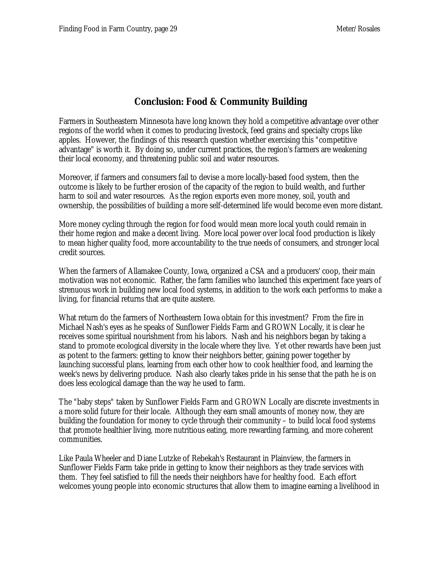# **Conclusion: Food & Community Building**

Farmers in Southeastern Minnesota have long known they hold a competitive advantage over other regions of the world when it comes to producing livestock, feed grains and specialty crops like apples. However, the findings of this research question whether exercising this "competitive advantage" is worth it. By doing so, under current practices, the region's farmers are weakening their local economy, and threatening public soil and water resources.

Moreover, if farmers and consumers fail to devise a more locally-based food system, then the outcome is likely to be further erosion of the capacity of the region to build wealth, and further harm to soil and water resources. As the region exports even more money, soil, youth and ownership, the possibilities of building a more self-determined life would become even more distant.

More money cycling through the region for food would mean more local youth could remain in their home region and make a decent living. More local power over local food production is likely to mean higher quality food, more accountability to the true needs of consumers, and stronger local credit sources.

When the farmers of Allamakee County, Iowa, organized a CSA and a producers' coop, their main motivation was not economic. Rather, the farm families who launched this experiment face years of strenuous work in building new local food systems, in addition to the work each performs to make a living, for financial returns that are quite austere.

What return do the farmers of Northeastern Iowa obtain for this investment? From the fire in Michael Nash's eyes as he speaks of Sunflower Fields Farm and GROWN Locally, it is clear he receives some spiritual nourishment from his labors. Nash and his neighbors began by taking a stand to promote ecological diversity in the locale where they live. Yet other rewards have been just as potent to the farmers: getting to know their neighbors better, gaining power together by launching successful plans, learning from each other how to cook healthier food, and learning the week's news by delivering produce. Nash also clearly takes pride in his sense that the path he is on does less ecological damage than the way he used to farm.

The "baby steps" taken by Sunflower Fields Farm and GROWN Locally are discrete investments in a more solid future for their locale. Although they earn small amounts of money now, they are building the foundation for money to cycle through their community – to build local food systems that promote healthier living, more nutritious eating, more rewarding farming, and more coherent communities.

Like Paula Wheeler and Diane Lutzke of Rebekah's Restaurant in Plainview, the farmers in Sunflower Fields Farm take pride in getting to know their neighbors as they trade services with them. They feel satisfied to fill the needs their neighbors have for healthy food. Each effort welcomes young people into economic structures that allow them to imagine earning a livelihood in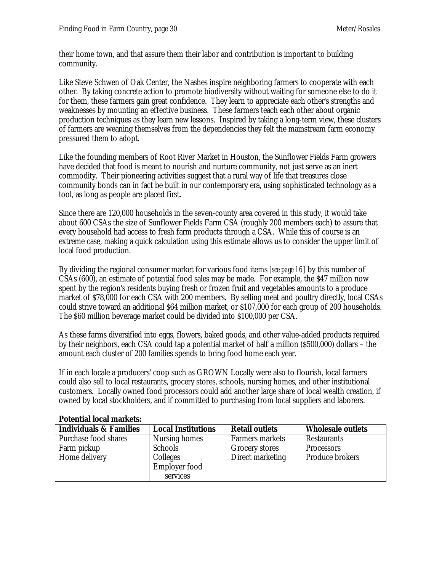their home town, and that assure them their labor and contribution is important to building community.

Like Steve Schwen of Oak Center, the Nashes inspire neighboring farmers to cooperate with each other. By taking concrete action to promote biodiversity without waiting for someone else to do it for them, these farmers gain great confidence. They learn to appreciate each other's strengths and weaknesses by mounting an effective business. These farmers teach each other about organic production techniques as they learn new lessons. Inspired by taking a long-term view, these clusters of farmers are weaning themselves from the dependencies they felt the mainstream farm economy pressured them to adopt.

Like the founding members of Root River Market in Houston, the Sunflower Fields Farm growers have decided that food is meant to nourish and nurture community, not just serve as an inert commodity. Their pioneering activities suggest that a rural way of life that treasures close community bonds can in fact be built in our contemporary era, using sophisticated technology as a tool, as long as people are placed first.

Since there are 120,000 households in the seven-county area covered in this study, it would take about 600 CSAs the size of Sunflower Fields Farm CSA (roughly 200 members each) to assure that every household had access to fresh farm products through a CSA. While this of course is an extreme case, making a quick calculation using this estimate allows us to consider the upper limit of local food production.

By dividing the regional consumer market for various food items *[see page 16]* by this number of CSAs (600), an estimate of potential food sales may be made. For example, the \$47 million now spent by the region's residents buying fresh or frozen fruit and vegetables amounts to a produce market of \$78,000 for each CSA with 200 members. By selling meat and poultry directly, local CSAs could strive toward an additional \$64 million market, or \$107,000 for each group of 200 households. The \$60 million beverage market could be divided into \$100,000 per CSA.

As these farms diversified into eggs, flowers, baked goods, and other value-added products required by their neighbors, each CSA could tap a potential market of half a million (\$500,000) dollars – the amount each cluster of 200 families spends to bring food home each year.

If in each locale a producers' coop such as GROWN Locally were also to flourish, local farmers could also sell to local restaurants, grocery stores, schools, nursing homes, and other institutional customers. Locally owned food processors could add another large share of local wealth creation, if owned by local stockholders, and if committed to purchasing from local suppliers and laborers.

| <b>Individuals &amp; Families</b> | <b>Local Institutions</b> | <b>Retail outlets</b> | <b>Wholesale outlets</b> |
|-----------------------------------|---------------------------|-----------------------|--------------------------|
| Purchase food shares              | Nursing homes             | Farmers markets       | Restaurants              |
| Farm pickup                       | Schools                   | Grocery stores        | Processors               |
| Home delivery                     | Colleges                  | Direct marketing      | Produce brokers          |
|                                   | Employer food             |                       |                          |
|                                   | services                  |                       |                          |

**Potential local markets:**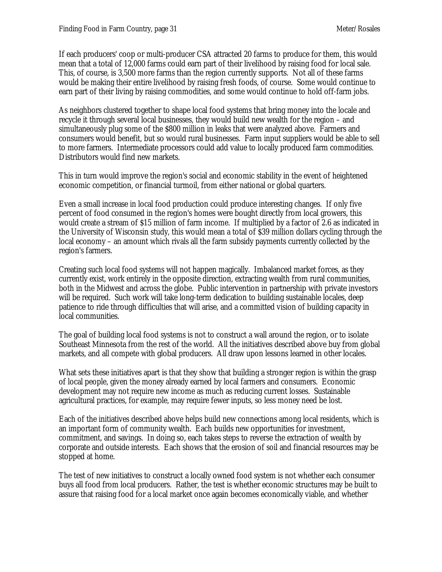If each producers' coop or multi-producer CSA attracted 20 farms to produce for them, this would mean that a total of 12,000 farms could earn part of their livelihood by raising food for local sale. This, of course, is 3,500 more farms than the region currently supports. Not all of these farms would be making their entire livelihood by raising fresh foods, of course. Some would continue to earn part of their living by raising commodities, and some would continue to hold off-farm jobs.

As neighbors clustered together to shape local food systems that bring money into the locale and recycle it through several local businesses, they would build new wealth for the region – and simultaneously plug some of the \$800 million in leaks that were analyzed above. Farmers and consumers would benefit, but so would rural businesses. Farm input suppliers would be able to sell to more farmers. Intermediate processors could add value to locally produced farm commodities. Distributors would find new markets.

This in turn would improve the region's social and economic stability in the event of heightened economic competition, or financial turmoil, from either national or global quarters.

Even a small increase in local food production could produce interesting changes. If only five percent of food consumed in the region's homes were bought directly from local growers, this would create a stream of \$15 million of farm income. If multiplied by a factor of 2.6 as indicated in the University of Wisconsin study, this would mean a total of \$39 million dollars cycling through the local economy – an amount which rivals all the farm subsidy payments currently collected by the region's farmers.

Creating such local food systems will not happen magically. Imbalanced market forces, as they currently exist, work entirely in the opposite direction, extracting wealth from rural communities, both in the Midwest and across the globe. Public intervention in partnership with private investors will be required. Such work will take long-term dedication to building sustainable locales, deep patience to ride through difficulties that will arise, and a committed vision of building capacity in local communities.

The goal of building local food systems is not to construct a wall around the region, or to isolate Southeast Minnesota from the rest of the world. All the initiatives described above buy from global markets, and all compete with global producers. All draw upon lessons learned in other locales.

What sets these initiatives apart is that they show that building a stronger region is within the grasp of local people, given the money already earned by local farmers and consumers. Economic development may not require new income as much as reducing current losses. Sustainable agricultural practices, for example, may require fewer inputs, so less money need be lost.

Each of the initiatives described above helps build new connections among local residents, which is an important form of community wealth. Each builds new opportunities for investment, commitment, and savings. In doing so, each takes steps to reverse the extraction of wealth by corporate and outside interests. Each shows that the erosion of soil and financial resources may be stopped at home.

The test of new initiatives to construct a locally owned food system is not whether each consumer buys all food from local producers. Rather, the test is whether economic structures may be built to assure that raising food for a local market once again becomes economically viable, and whether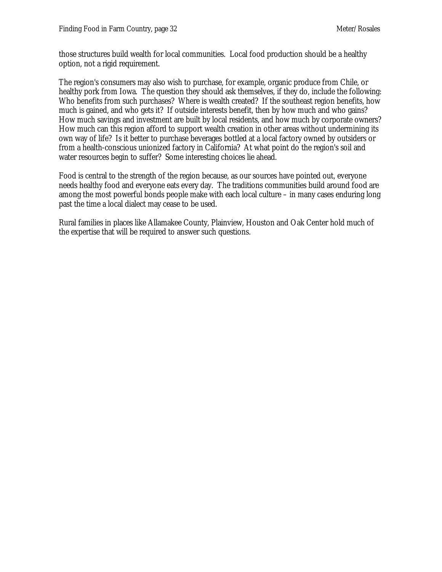those structures build wealth for local communities. Local food production should be a healthy option, not a rigid requirement.

The region's consumers may also wish to purchase, for example, organic produce from Chile, or healthy pork from Iowa. The question they should ask themselves, if they do, include the following: Who benefits from such purchases? Where is wealth created? If the southeast region benefits, how much is gained, and who gets it? If outside interests benefit, then by how much and who gains? How much savings and investment are built by local residents, and how much by corporate owners? How much can this region afford to support wealth creation in other areas without undermining its own way of life? Is it better to purchase beverages bottled at a local factory owned by outsiders or from a health-conscious unionized factory in California? At what point do the region's soil and water resources begin to suffer? Some interesting choices lie ahead.

Food is central to the strength of the region because, as our sources have pointed out, everyone needs healthy food and everyone eats every day. The traditions communities build around food are among the most powerful bonds people make with each local culture – in many cases enduring long past the time a local dialect may cease to be used.

Rural families in places like Allamakee County, Plainview, Houston and Oak Center hold much of the expertise that will be required to answer such questions.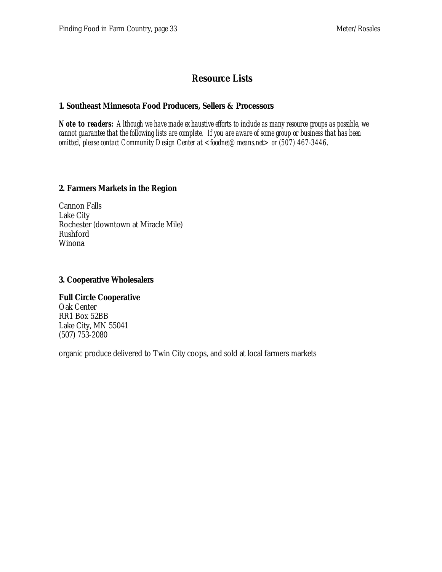# **Resource Lists**

#### **1. Southeast Minnesota Food Producers, Sellers & Processors**

*Note to readers: Although we have made exhaustive efforts to include as many resource groups as possible, we cannot guarantee that the following lists are complete. If you are aware of some group or business that has been omitted, please contact Community Design Center at <foodnet@means.net> or (507) 467-3446.*

#### **2. Farmers Markets in the Region**

Cannon Falls Lake City Rochester (downtown at Miracle Mile) Rushford Winona

#### **3. Cooperative Wholesalers**

#### **Full Circle Cooperative** Oak Center

RR1 Box 52BB Lake City, MN 55041 (507) 753-2080

organic produce delivered to Twin City coops, and sold at local farmers markets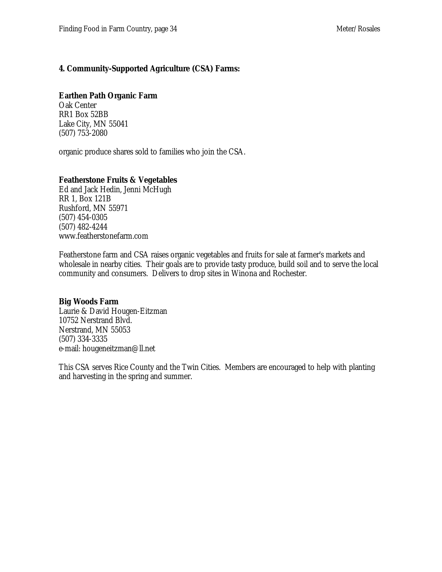#### **4. Community-Supported Agriculture (CSA) Farms:**

#### **Earthen Path Organic Farm**

Oak Center RR1 Box 52BB Lake City, MN 55041 (507) 753-2080

organic produce shares sold to families who join the CSA.

#### **Featherstone Fruits & Vegetables**

Ed and Jack Hedin, Jenni McHugh RR 1, Box 121B Rushford, MN 55971 (507) 454-0305 (507) 482-4244 www.featherstonefarm.com

Featherstone farm and CSA raises organic vegetables and fruits for sale at farmer's markets and wholesale in nearby cities. Their goals are to provide tasty produce, build soil and to serve the local community and consumers. Delivers to drop sites in Winona and Rochester.

#### **Big Woods Farm**

Laurie & David Hougen-Eitzman 10752 Nerstrand Blvd. Nerstrand, MN 55053 (507) 334-3335 e-mail: hougeneitzman@ll.net

This CSA serves Rice County and the Twin Cities. Members are encouraged to help with planting and harvesting in the spring and summer.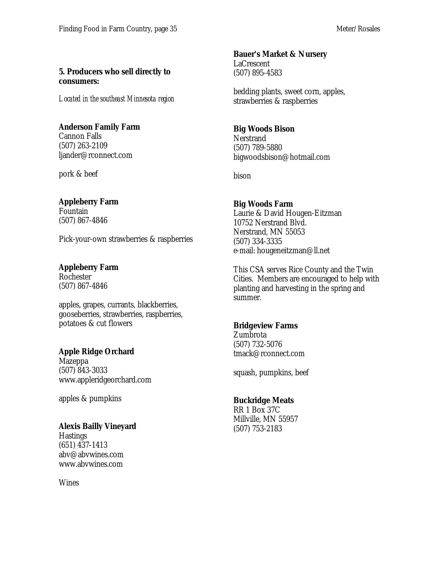#### **5. Producers who sell directly to consumers:**

*Located in the southeast Minnesota region*

### **Anderson Family Farm**

Cannon Falls (507) 263-2109 ljander@rconnect.com

pork & beef

### **Appleberry Farm**

Fountain (507) 867-4846

Pick-your-own strawberries & raspberries

# **Appleberry Farm**

Rochester (507) 867-4846

apples, grapes, currants, blackberries, gooseberries, strawberries, raspberries, potatoes & cut flowers

### **Apple Ridge Orchard**

Mazeppa (507) 843-3033 www.appleridgeorchard.com

apples & pumpkins

### **Alexis Bailly Vineyard**

**Hastings** (651) 437-1413 abv@abvwines.com www.abvwines.com

**Wines** 

### **Bauer's Market & Nursery**

LaCrescent (507) 895-4583

bedding plants, sweet corn, apples, strawberries & raspberries

### **Big Woods Bison**

**Nerstrand** (507) 789-5880 bigwoodsbison@hotmail.com

bison

# **Big Woods Farm**

Laurie & David Hougen-Eitzman 10752 Nerstrand Blvd. Nerstrand, MN 55053 (507) 334-3335 e-mail: hougeneitzman@ll.net

This CSA serves Rice County and the Twin Cities. Members are encouraged to help with planting and harvesting in the spring and summer.

### **Bridgeview Farms**

Zumbrota (507) 732-5076 tmack@rconnect.com

squash, pumpkins, beef

### **Buckridge Meats**

RR 1 Box 37C Millville, MN 55957 (507) 753-2183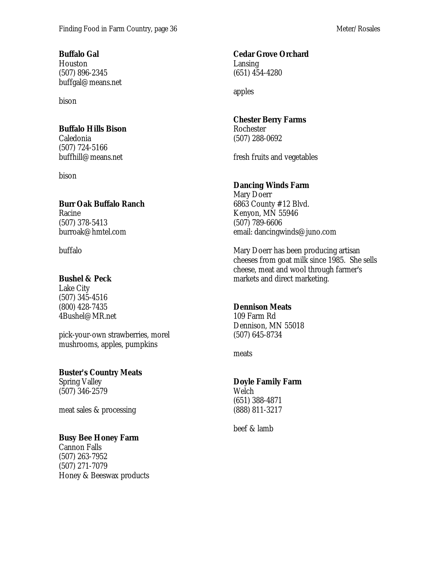### **Buffalo Gal**

Houston (507) 896-2345 buffgal@means.net

bison

### **Buffalo Hills Bison**

Caledonia (507) 724-5166 buffhill@means.net

bison

**Burr Oak Buffalo Ranch** Racine (507) 378-5413 burroak@hmtel.com

buffalo

# **Bushel & Peck**

Lake City (507) 345-4516 (800) 428-7435 4Bushel@MR.net

pick-your-own strawberries, morel mushrooms, apples, pumpkins

**Buster's Country Meats** Spring Valley (507) 346-2579

meat sales & processing

### **Busy Bee Honey Farm**

Cannon Falls (507) 263-7952 (507) 271-7079 Honey & Beeswax products

## **Cedar Grove Orchard**

Lansing (651) 454-4280

apples

## **Chester Berry Farms**

Rochester (507) 288-0692

fresh fruits and vegetables

# **Dancing Winds Farm**

Mary Doerr 6863 County #12 Blvd. Kenyon, MN 55946 (507) 789-6606 email: dancingwinds@juno.com

Mary Doerr has been producing artisan cheeses from goat milk since 1985. She sells cheese, meat and wool through farmer's markets and direct marketing.

### **Dennison Meats**

109 Farm Rd Dennison, MN 55018 (507) 645-8734

meats

# **Doyle Family Farm**

Welch (651) 388-4871 (888) 811-3217

beef & lamb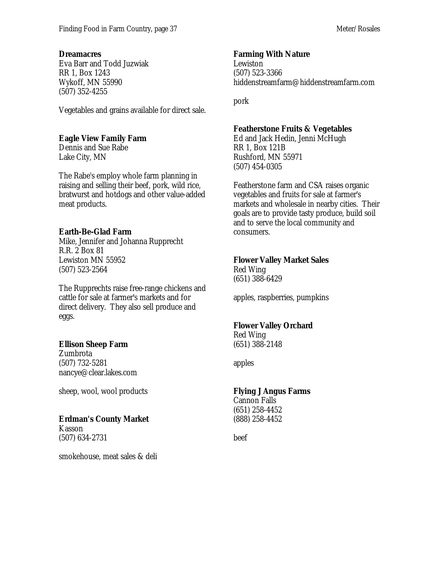#### **Dreamacres**

Eva Barr and Todd Juzwiak RR 1, Box 1243 Wykoff, MN 55990 (507) 352-4255

Vegetables and grains available for direct sale.

#### **Eagle View Family Farm**

Dennis and Sue Rabe Lake City, MN

The Rabe's employ whole farm planning in raising and selling their beef, pork, wild rice, bratwurst and hotdogs and other value-added meat products.

### **Earth-Be-Glad Farm**

Mike, Jennifer and Johanna Rupprecht R.R. 2 Box 81 Lewiston MN 55952 (507) 523-2564

The Rupprechts raise free-range chickens and cattle for sale at farmer's markets and for direct delivery. They also sell produce and eggs.

### **Ellison Sheep Farm**

Zumbrota (507) 732-5281 nancye@clear.lakes.com

sheep, wool, wool products

### **Erdman's County Market**

Kasson (507) 634-2731

smokehouse, meat sales & deli

### **Farming With Nature**

Lewiston (507) 523-3366 hiddenstreamfarm@hiddenstreamfarm.com

pork

### **Featherstone Fruits & Vegetables**

Ed and Jack Hedin, Jenni McHugh RR 1, Box 121B Rushford, MN 55971 (507) 454-0305

Featherstone farm and CSA raises organic vegetables and fruits for sale at farmer's markets and wholesale in nearby cities. Their goals are to provide tasty produce, build soil and to serve the local community and consumers.

### **Flower Valley Market Sales**

Red Wing (651) 388-6429

apples, raspberries, pumpkins

### **Flower Valley Orchard**

Red Wing (651) 388-2148

apples

### **Flying J Angus Farms**

Cannon Falls (651) 258-4452 (888) 258-4452

beef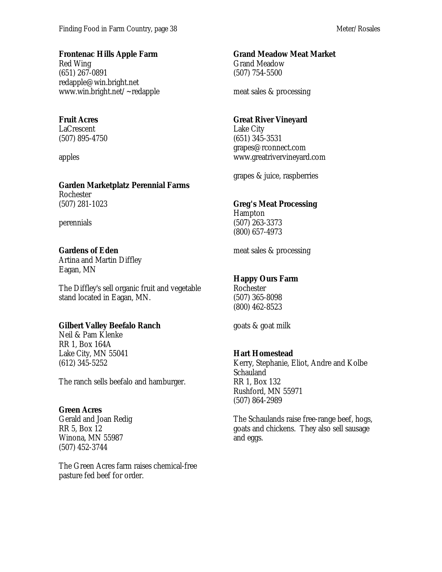#### **Frontenac Hills Apple Farm**

Red Wing (651) 267-0891 redapple@win.bright.net www.win.bright.net/~redapple

### **Fruit Acres**

LaCrescent (507) 895-4750

apples

### **Garden Marketplatz Perennial Farms**

Rochester (507) 281-1023

perennials

### **Gardens of Eden**

Artina and Martin Diffley Eagan, MN

The Diffley's sell organic fruit and vegetable stand located in Eagan, MN.

### **Gilbert Valley Beefalo Ranch**

Neil & Pam Klenke RR 1, Box 164A Lake City, MN 55041 (612) 345-5252

The ranch sells beefalo and hamburger.

### **Green Acres**

Gerald and Joan Redig RR 5, Box 12 Winona, MN 55987 (507) 452-3744

The Green Acres farm raises chemical-free pasture fed beef for order.

### **Grand Meadow Meat Market**

Grand Meadow (507) 754-5500

meat sales & processing

### **Great River Vineyard**

Lake City (651) 345-3531 grapes@rconnect.com www.greatrivervineyard.com

grapes & juice, raspberries

### **Greg's Meat Processing**

Hampton (507) 263-3373 (800) 657-4973

meat sales & processing

### **Happy Ours Farm**

Rochester (507) 365-8098 (800) 462-8523

goats & goat milk

### **Hart Homestead**

Kerry, Stephanie, Eliot, Andre and Kolbe Schauland RR 1, Box 132 Rushford, MN 55971 (507) 864-2989

The Schaulands raise free-range beef, hogs, goats and chickens. They also sell sausage and eggs.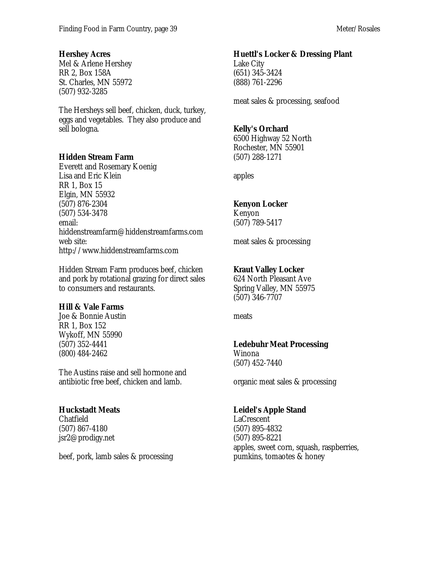### **Hershey Acres**

Mel & Arlene Hershey RR 2, Box 158A St. Charles, MN 55972 (507) 932-3285

The Hersheys sell beef, chicken, duck, turkey, eggs and vegetables. They also produce and sell bologna.

#### **Hidden Stream Farm**

Everett and Rosemary Koenig Lisa and Eric Klein RR 1, Box 15 Elgin, MN 55932 (507) 876-2304 (507) 534-3478 email: hiddenstreamfarm@hiddenstreamfarms.com web site: http://www.hiddenstreamfarms.com

Hidden Stream Farm produces beef, chicken and pork by rotational grazing for direct sales to consumers and restaurants.

#### **Hill & Vale Farms**

Joe & Bonnie Austin RR 1, Box 152 Wykoff, MN 55990 (507) 352-4441 (800) 484-2462

The Austins raise and sell hormone and antibiotic free beef, chicken and lamb.

### **Huckstadt Meats**

Chatfield (507) 867-4180 jsr2@prodigy.net

beef, pork, lamb sales & processing

### **Huettl's Locker & Dressing Plant**

Lake City (651) 345-3424 (888) 761-2296

meat sales & processing, seafood

#### **Kelly's Orchard**

6500 Highway 52 North Rochester, MN 55901 (507) 288-1271

apples

### **Kenyon Locker**

Kenyon (507) 789-5417

meat sales & processing

### **Kraut Valley Locker**

624 North Pleasant Ave Spring Valley, MN 55975 (507) 346-7707

meats

### **Ledebuhr Meat Processing**

Winona (507) 452-7440

organic meat sales & processing

### **Leidel's Apple Stand**

LaCrescent (507) 895-4832 (507) 895-8221 apples, sweet corn, squash, raspberries, pumkins, tomaotes & honey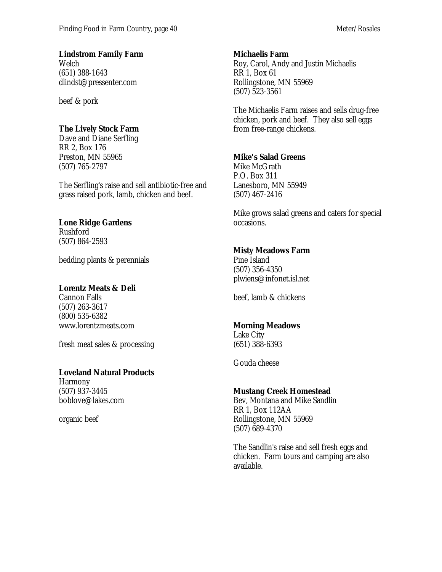### **Lindstrom Family Farm**

Welch (651) 388-1643 dlindst@pressenter.com

beef & pork

### **The Lively Stock Farm**

Dave and Diane Serfling RR 2, Box 176 Preston, MN 55965 (507) 765-2797

The Serfling's raise and sell antibiotic-free and grass raised pork, lamb, chicken and beef.

### **Lone Ridge Gardens**

Rushford (507) 864-2593

bedding plants & perennials

### **Lorentz Meats & Deli**

Cannon Falls (507) 263-3617 (800) 535-6382 www.lorentzmeats.com

fresh meat sales & processing

### **Loveland Natural Products**

Harmony (507) 937-3445 boblove@lakes.com

organic beef

#### **Michaelis Farm**

Roy, Carol, Andy and Justin Michaelis RR 1, Box 61 Rollingstone, MN 55969 (507) 523-3561

The Michaelis Farm raises and sells drug-free chicken, pork and beef. They also sell eggs from free-range chickens.

### **Mike's Salad Greens**

Mike McGrath P.O. Box 311 Lanesboro, MN 55949 (507) 467-2416

Mike grows salad greens and caters for special occasions.

### **Misty Meadows Farm**

Pine Island (507) 356-4350 plwiens@infonet.isl.net

beef, lamb & chickens

### **Morning Meadows**

Lake City (651) 388-6393

Gouda cheese

### **Mustang Creek Homestead**

Bev, Montana and Mike Sandlin RR 1, Box 112AA Rollingstone, MN 55969 (507) 689-4370

The Sandlin's raise and sell fresh eggs and chicken. Farm tours and camping are also available.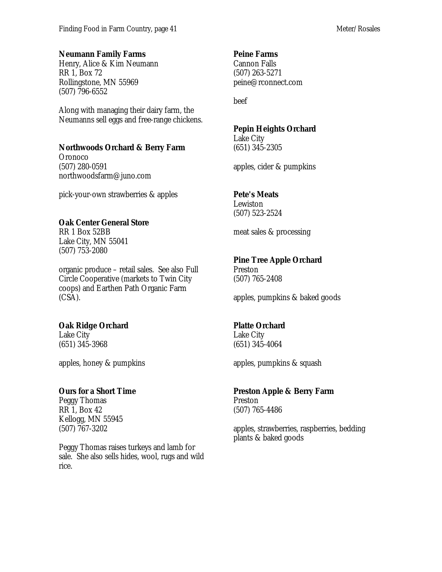#### **Neumann Family Farms**

Henry, Alice & Kim Neumann RR 1, Box 72 Rollingstone, MN 55969 (507) 796-6552

Along with managing their dairy farm, the Neumanns sell eggs and free-range chickens.

#### **Northwoods Orchard & Berry Farm**

Oronoco (507) 280-0591 northwoodsfarm@juno.com

pick-your-own strawberries & apples

### **Oak Center General Store**

RR 1 Box 52BB Lake City, MN 55041 (507) 753-2080

organic produce – retail sales. See also Full Circle Cooperative (markets to Twin City coops) and Earthen Path Organic Farm (CSA).

### **Oak Ridge Orchard**

Lake City (651) 345-3968

apples, honey & pumpkins

### **Ours for a Short Time**

Peggy Thomas RR 1, Box 42 Kellogg, MN 55945 (507) 767-3202

Peggy Thomas raises turkeys and lamb for sale. She also sells hides, wool, rugs and wild rice.

#### **Peine Farms**

Cannon Falls (507) 263-5271 peine@rconnect.com

beef

### **Pepin Heights Orchard**

Lake City (651) 345-2305

apples, cider & pumpkins

### **Pete's Meats**

Lewiston (507) 523-2524

meat sales & processing

### **Pine Tree Apple Orchard**

Preston (507) 765-2408

apples, pumpkins & baked goods

### **Platte Orchard**

Lake City (651) 345-4064

apples, pumpkins & squash

### **Preston Apple & Berry Farm**

Preston (507) 765-4486

apples, strawberries, raspberries, bedding plants & baked goods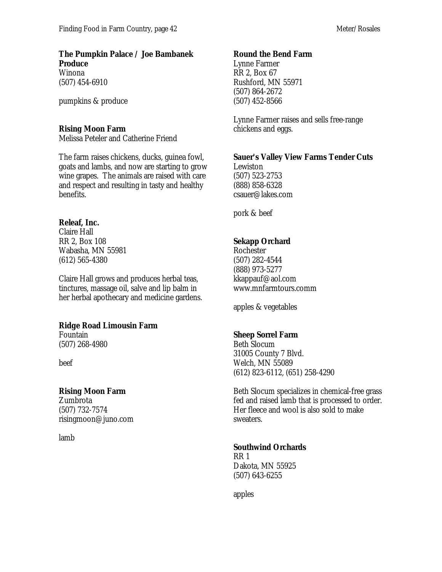#### **The Pumpkin Palace / Joe Bambanek Produce** Winona

(507) 454-6910

pumpkins & produce

### **Rising Moon Farm**

Melissa Peteler and Catherine Friend

The farm raises chickens, ducks, guinea fowl, goats and lambs, and now are starting to grow wine grapes. The animals are raised with care and respect and resulting in tasty and healthy benefits.

### **Releaf, Inc.**

Claire Hall RR 2, Box 108 Wabasha, MN 55981 (612) 565-4380

Claire Hall grows and produces herbal teas, tinctures, massage oil, salve and lip balm in her herbal apothecary and medicine gardens.

### **Ridge Road Limousin Farm**

Fountain (507) 268-4980

beef

### **Rising Moon Farm**

Zumbrota (507) 732-7574 risingmoon@juno.com

lamb

### **Round the Bend Farm**

Lynne Farmer RR 2, Box 67 Rushford, MN 55971 (507) 864-2672 (507) 452-8566

Lynne Farmer raises and sells free-range chickens and eggs.

### **Sauer's Valley View Farms Tender Cuts**

Lewiston (507) 523-2753 (888) 858-6328 csauer@lakes.com

pork & beef

# **Sekapp Orchard**

Rochester (507) 282-4544 (888) 973-5277 kkappauf@aol.com www.mnfarmtours.comm

apples & vegetables

### **Sheep Sorrel Farm**

Beth Slocum 31005 County 7 Blvd. Welch, MN 55089 (612) 823-6112, (651) 258-4290

Beth Slocum specializes in chemical-free grass fed and raised lamb that is processed to order. Her fleece and wool is also sold to make sweaters.

### **Southwind Orchards**

RR 1 Dakota, MN 55925 (507) 643-6255

apples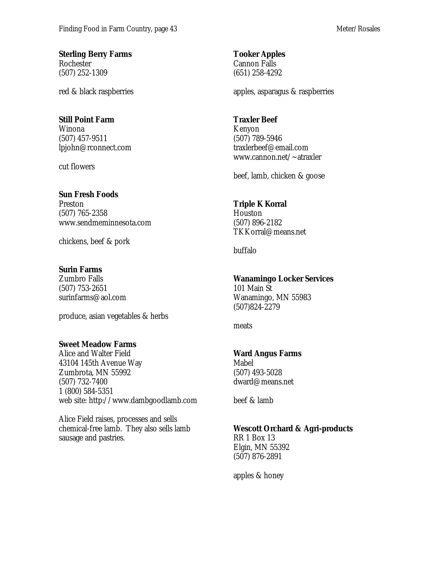**Sterling Berry Farms** Rochester (507) 252-1309

red & black raspberries

#### **Still Point Farm**

Winona (507) 457-9511 lpjohn@rconnect.com

cut flowers

### **Sun Fresh Foods**

Preston (507) 765-2358 www.sendmeminnesota.com

chickens, beef & pork

#### **Surin Farms**

Zumbro Falls (507) 753-2651 surinfarms@aol.com

produce, asian vegetables & herbs

### **Sweet Meadow Farms**

Alice and Walter Field 43104 145th Avenue Way Zumbrota, MN 55992 (507) 732-7400 1 (800) 584-5351 web site: http://www.dambgoodlamb.com

Alice Field raises, processes and sells chemical-free lamb. They also sells lamb sausage and pastries.

**Tooker Apples** Cannon Falls (651) 258-4292

apples, asparagus & raspberries

#### **Traxler Beef**

Kenyon (507) 789-5946 traxlerbeef@email.com www.cannon.net/~atraxler

beef, lamb, chicken & goose

### **Triple K Korral**

Houston (507) 896-2182 TKKorral@means.net

buffalo

### **Wanamingo Locker Services**

101 Main St Wanamingo, MN 55983 (507)824-2279

meats

### **Ward Angus Farms**

Mabel (507) 493-5028 dward@means.net

beef & lamb

### **Wescott Orchard & Agri-products**

RR 1 Box 13 Elgin, MN 55392 (507) 876-2891

apples & honey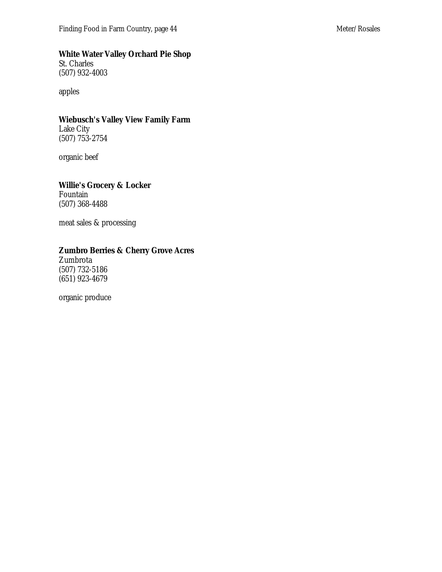#### **White Water Valley Orchard Pie Shop**

St. Charles (507) 932-4003

apples

### **Wiebusch's Valley View Family Farm**

Lake City (507) 753-2754

organic beef

#### **Willie's Grocery & Locker**

Fountain (507) 368-4488

meat sales & processing

### **Zumbro Berries & Cherry Grove Acres**

Zumbrota (507) 732-5186 (651) 923-4679

organic produce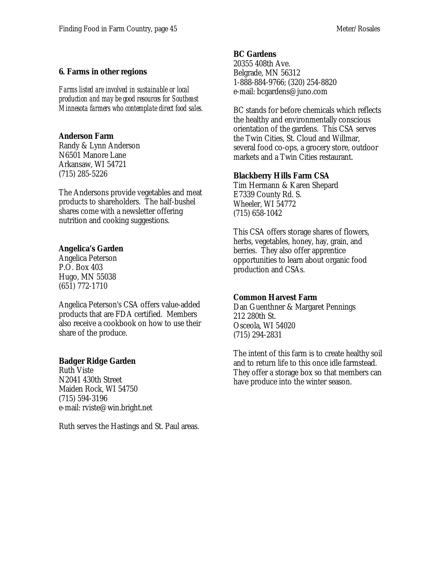### **6. Farms in other regions**

*Farms listed are involved in sustainable or local production and may be good resources for Southeast Minnesota farmers who contemplate direct food sales.*

### **Anderson Farm**

Randy & Lynn Anderson N6501 Manore Lane Arkansaw, WI 54721 (715) 285-5226

The Andersons provide vegetables and meat products to shareholders. The half-bushel shares come with a newsletter offering nutrition and cooking suggestions.

### **Angelica's Garden**

Angelica Peterson P.O. Box 403 Hugo, MN 55038 (651) 772-1710

Angelica Peterson's CSA offers value-added products that are FDA certified. Members also receive a cookbook on how to use their share of the produce.

### **Badger Ridge Garden**

Ruth Viste N2041 430th Street Maiden Rock, WI 54750 (715) 594-3196 e-mail: rviste@win.bright.net

Ruth serves the Hastings and St. Paul areas.

#### **BC Gardens**

20355 408th Ave. Belgrade, MN 56312 1-888-884-9766; (320) 254-8820 e-mail: bcgardens@juno.com

BC stands for before chemicals which reflects the healthy and environmentally conscious orientation of the gardens. This CSA serves the Twin Cities, St. Cloud and Willmar, several food co-ops, a grocery store, outdoor markets and a Twin Cities restaurant.

### **Blackberry Hills Farm CSA**

Tim Hermann & Karen Shepard E7339 County Rd. S. Wheeler, WI 54772 (715) 658-1042

This CSA offers storage shares of flowers, herbs, vegetables, honey, hay, grain, and berries. They also offer apprentice opportunities to learn about organic food production and CSAs.

### **Common Harvest Farm**

Dan Guenthner & Margaret Pennings 212 280th St. Osceola, WI 54020 (715) 294-2831

The intent of this farm is to create healthy soil and to return life to this once idle farmstead. They offer a storage box so that members can have produce into the winter season.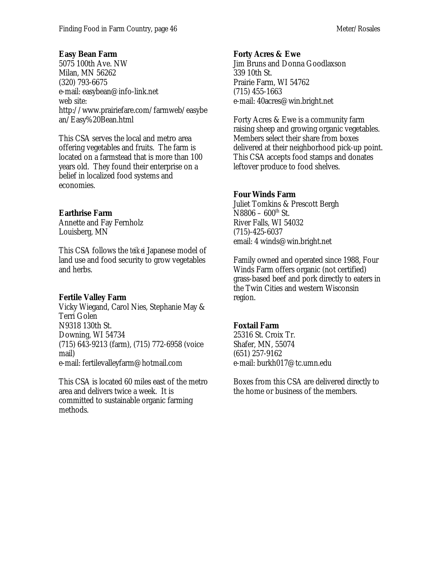#### **Easy Bean Farm**

5075 100th Ave. NW Milan, MN 56262 (320) 793-6675 e-mail: easybean@info-link.net web site: http://www.prairiefare.com/farmweb/easybe an/Easy%20Bean.html

This CSA serves the local and metro area offering vegetables and fruits. The farm is located on a farmstead that is more than 100 years old. They found their enterprise on a belief in localized food systems and economies.

### **Earthrise Farm**

Annette and Fay Fernholz Louisberg, MN

This CSA follows the *teikei* Japanese model of land use and food security to grow vegetables and herbs.

### **Fertile Valley Farm**

Vicky Wiegand, Carol Nies, Stephanie May & Terri Golen N9318 130th St. Downing, WI 54734 (715) 643-9213 (farm), (715) 772-6958 (voice mail) e-mail: fertilevalleyfarm@hotmail.com

This CSA is located 60 miles east of the metro area and delivers twice a week. It is committed to sustainable organic farming methods.

#### **Forty Acres & Ewe**

Jim Bruns and Donna Goodlaxson 339 10th St. Prairie Farm, WI 54762 (715) 455-1663 e-mail: 40acres@win.bright.net

Forty Acres & Ewe is a community farm raising sheep and growing organic vegetables. Members select their share from boxes delivered at their neighborhood pick-up point. This CSA accepts food stamps and donates leftover produce to food shelves.

### **Four Winds Farm**

Juliet Tomkins & Prescott Bergh  $N8806 - 600$ <sup>th</sup> St. River Falls, WI 54032 (715)-425-6037 email: 4 winds@win.bright.net

Family owned and operated since 1988, Four Winds Farm offers organic (not certified) grass-based beef and pork directly to eaters in the Twin Cities and western Wisconsin region.

### **Foxtail Farm**

25316 St. Croix Tr. Shafer, MN, 55074 (651) 257-9162 e-mail: burkh017@tc.umn.edu

Boxes from this CSA are delivered directly to the home or business of the members.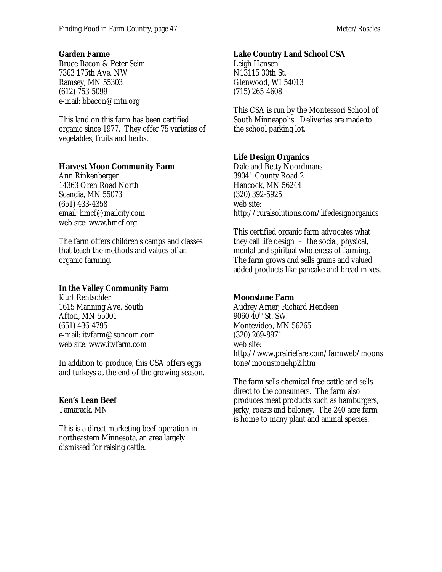#### **Garden Farme**

Bruce Bacon & Peter Seim 7363 175th Ave. NW Ramsey, MN 55303 (612) 753-5099 e-mail: bbacon@mtn.org

This land on this farm has been certified organic since 1977. They offer 75 varieties of vegetables, fruits and herbs.

### **Harvest Moon Community Farm**

Ann Rinkenberger 14363 Oren Road North Scandia, MN 55073 (651) 433-4358 email: hmcf@mailcity.com web site: www.hmcf.org

The farm offers children's camps and classes that teach the methods and values of an organic farming.

### **In the Valley Community Farm**

Kurt Rentschler 1615 Manning Ave. South Afton, MN 55001 (651) 436-4795 e-mail: itvfarm@soncom.com web site: www.itvfarm.com

In addition to produce, this CSA offers eggs and turkeys at the end of the growing season.

### **Ken's Lean Beef**

Tamarack, MN

This is a direct marketing beef operation in northeastern Minnesota, an area largely dismissed for raising cattle.

### **Lake Country Land School CSA**

Leigh Hansen N13115 30th St. Glenwood, WI 54013 (715) 265-4608

This CSA is run by the Montessori School of South Minneapolis. Deliveries are made to the school parking lot.

### **Life Design Organics**

Dale and Betty Noordmans 39041 County Road 2 Hancock, MN 56244 (320) 392-5925 web site: http://ruralsolutions.com/lifedesignorganics

This certified organic farm advocates what they call life design – the social, physical, mental and spiritual wholeness of farming. The farm grows and sells grains and valued added products like pancake and bread mixes.

### **Moonstone Farm**

Audrey Arner, Richard Hendeen  $9060$   $40^{\text{th}}$  St. SW Montevideo, MN 56265 (320) 269-8971 web site: http://www.prairiefare.com/farmweb/moons tone/moonstonehp2.htm

The farm sells chemical-free cattle and sells direct to the consumers. The farm also produces meat products such as hamburgers, jerky, roasts and baloney. The 240 acre farm is home to many plant and animal species.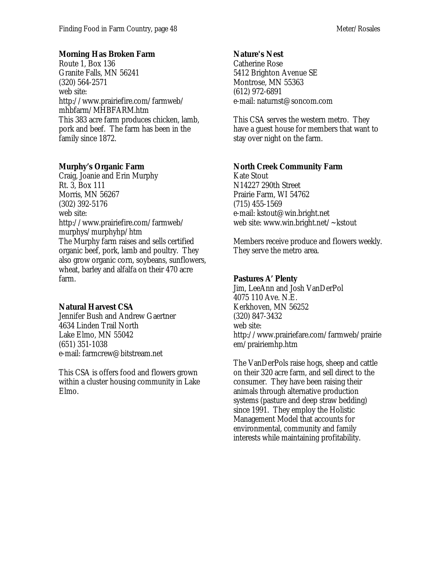### **Morning Has Broken Farm**

Route 1, Box 136 Granite Falls, MN 56241 (320) 564-2571 web site: http://www.prairiefire.com/farmweb/ mhbfarm/MHBFARM.htm This 383 acre farm produces chicken, lamb, pork and beef. The farm has been in the family since 1872.

### **Murphy's Organic Farm**

Craig, Joanie and Erin Murphy Rt. 3, Box 111 Morris, MN 56267 (302) 392-5176 web site: http://www.prairiefire.com/farmweb/ murphys/murphyhp/htm The Murphy farm raises and sells certified organic beef, pork, lamb and poultry. They also grow organic corn, soybeans, sunflowers, wheat, barley and alfalfa on their 470 acre farm.

### **Natural Harvest CSA**

Jennifer Bush and Andrew Gaertner 4634 Linden Trail North Lake Elmo, MN 55042 (651) 351-1038 e-mail: farmcrew@bitstream.net

This CSA is offers food and flowers grown within a cluster housing community in Lake Elmo.

#### **Nature's Nest**

Catherine Rose 5412 Brighton Avenue SE Montrose, MN 55363 (612) 972-6891 e-mail: naturnst@soncom.com

This CSA serves the western metro. They have a guest house for members that want to stay over night on the farm.

### **North Creek Community Farm**

Kate Stout N14227 290th Street Prairie Farm, WI 54762 (715) 455-1569 e-mail: kstout@win.bright.net web site: www.win.bright.net/~kstout

Members receive produce and flowers weekly. They serve the metro area.

### **Pastures A' Plenty**

Jim, LeeAnn and Josh VanDerPol 4075 110 Ave. N.E. Kerkhoven, MN 56252 (320) 847-3432 web site: http://www.prairiefare.com/farmweb/prairie em/prairiemhp.htm

The VanDerPols raise hogs, sheep and cattle on their 320 acre farm, and sell direct to the consumer. They have been raising their animals through alternative production systems (pasture and deep straw bedding) since 1991. They employ the Holistic Management Model that accounts for environmental, community and family interests while maintaining profitability.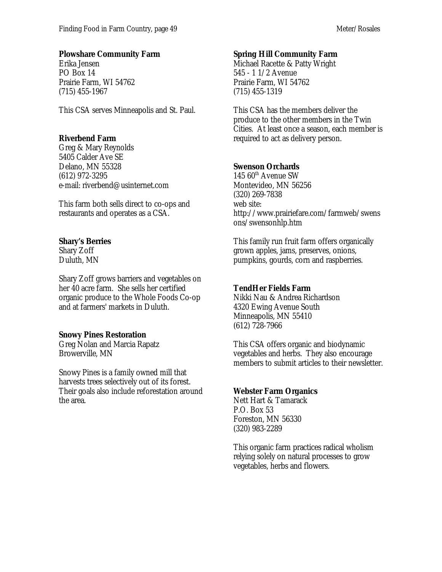### **Plowshare Community Farm**

Erika Jensen PO Box 14 Prairie Farm, WI 54762 (715) 455-1967

This CSA serves Minneapolis and St. Paul.

### **Riverbend Farm**

Greg & Mary Reynolds 5405 Calder Ave SE Delano, MN 55328 (612) 972-3295 e-mail: riverbend@usinternet.com

This farm both sells direct to co-ops and restaurants and operates as a CSA.

### **Shary's Berries**

Shary Zoff Duluth, MN

Shary Zoff grows barriers and vegetables on her 40 acre farm. She sells her certified organic produce to the Whole Foods Co-op and at farmers' markets in Duluth.

### **Snowy Pines Restoration**

Greg Nolan and Marcia Rapatz Browerville, MN

Snowy Pines is a family owned mill that harvests trees selectively out of its forest. Their goals also include reforestation around the area.

### **Spring Hill Community Farm**

Michael Racette & Patty Wright 545 - 1 1/2 Avenue Prairie Farm, WI 54762 (715) 455-1319

This CSA has the members deliver the produce to the other members in the Twin Cities. At least once a season, each member is required to act as delivery person.

### **Swenson Orchards**

145  $60^{\text{th}}$  Avenue SW Montevideo, MN 56256 (320) 269-7838 web site: http://www.prairiefare.com/farmweb/swens ons/swensonhlp.htm

This family run fruit farm offers organically grown apples, jams, preserves, onions, pumpkins, gourds, corn and raspberries.

### **TendHer Fields Farm**

Nikki Nau & Andrea Richardson 4320 Ewing Avenue South Minneapolis, MN 55410 (612) 728-7966

This CSA offers organic and biodynamic vegetables and herbs. They also encourage members to submit articles to their newsletter.

### **Webster Farm Organics**

Nett Hart & Tamarack P.O. Box 53 Foreston, MN 56330 (320) 983-2289

This organic farm practices radical wholism relying solely on natural processes to grow vegetables, herbs and flowers.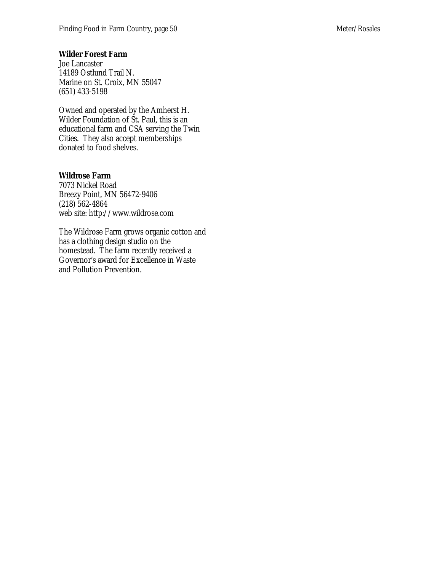#### **Wilder Forest Farm**

Joe Lancaster 14189 Ostlund Trail N. Marine on St. Croix, MN 55047 (651) 433-5198

Owned and operated by the Amherst H. Wilder Foundation of St. Paul, this is an educational farm and CSA serving the Twin Cities. They also accept memberships donated to food shelves.

#### **Wildrose Farm**

7073 Nickel Road Breezy Point, MN 56472-9406 (218) 562-4864 web site: http://www.wildrose.com

The Wildrose Farm grows organic cotton and has a clothing design studio on the homestead. The farm recently received a Governor's award for Excellence in Waste and Pollution Prevention.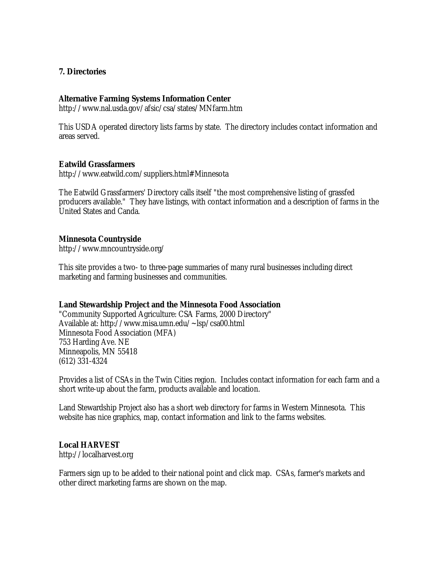#### **7. Directories**

#### **Alternative Farming Systems Information Center**

http://www.nal.usda.gov/afsic/csa/states/MNfarm.htm

This USDA operated directory lists farms by state. The directory includes contact information and areas served.

#### **Eatwild Grassfarmers**

http://www.eatwild.com/suppliers.html#Minnesota

The Eatwild Grassfarmers' Directory calls itself "the most comprehensive listing of grassfed producers available." They have listings, with contact information and a description of farms in the United States and Canda.

#### **Minnesota Countryside**

http://www.mncountryside.org/

This site provides a two- to three-page summaries of many rural businesses including direct marketing and farming businesses and communities.

#### **Land Stewardship Project and the Minnesota Food Association**

"Community Supported Agriculture: CSA Farms, 2000 Directory" Available at: http://www.misa.umn.edu/~lsp/csa00.html Minnesota Food Association (MFA) 753 Harding Ave. NE Minneapolis, MN 55418 (612) 331-4324

Provides a list of CSAs in the Twin Cities region. Includes contact information for each farm and a short write-up about the farm, products available and location.

Land Stewardship Project also has a short web directory for farms in Western Minnesota. This website has nice graphics, map, contact information and link to the farms websites.

#### **Local HARVEST**

http://localharvest.org

Farmers sign up to be added to their national point and click map. CSAs, farmer's markets and other direct marketing farms are shown on the map.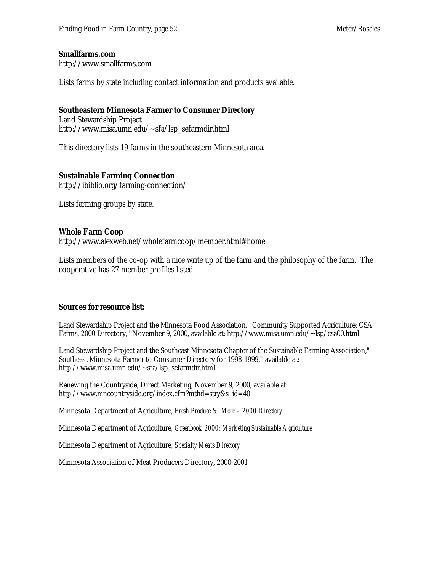#### **Smallfarms.com**

http://www.smallfarms.com

Lists farms by state including contact information and products available.

#### **Southeastern Minnesota Farmer to Consumer Directory**

Land Stewardship Project http://www.misa.umn.edu/~sfa/lsp\_sefarmdir.html

This directory lists 19 farms in the southeastern Minnesota area.

#### **Sustainable Farming Connection**

http://ibiblio.org/farming-connection/

Lists farming groups by state.

#### **Whole Farm Coop**

http://www.alexweb.net/wholefarmcoop/member.html#home

Lists members of the co-op with a nice write up of the farm and the philosophy of the farm. The cooperative has 27 member profiles listed.

#### **Sources for resource list:**

Land Stewardship Project and the Minnesota Food Association, "Community Supported Agriculture: CSA Farms, 2000 Directory," November 9, 2000, available at: http://www.misa.umn.edu/~lsp/csa00.html

Land Stewardship Project and the Southeast Minnesota Chapter of the Sustainable Farming Association," Southeast Minnesota Farmer to Consumer Directory for 1998-1999," available at: http://www.misa.umn.edu/~sfa/lsp\_sefarmdir.html

Renewing the Countryside, Direct Marketing, November 9, 2000, available at: http://www.mncountryside.org/index.cfm?mthd=stry&s\_id=40

Minnesota Department of Agriculture, *Fresh Produce & More – 2000 Directory*

Minnesota Department of Agriculture, *Greenbook 2000: Marketing Sustainable Agriculture*

Minnesota Department of Agriculture, *Specialty Meats Directory*

Minnesota Association of Meat Producers Directory, 2000-2001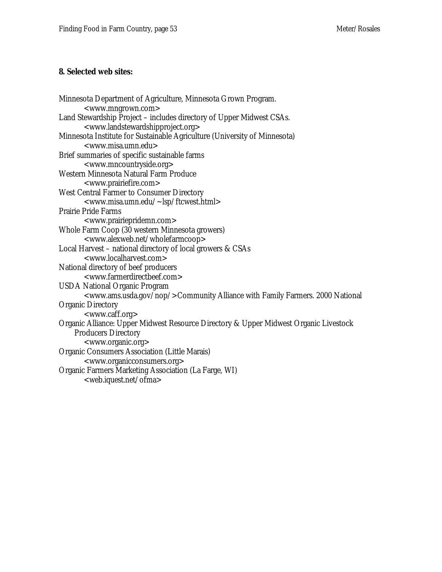#### **8. Selected web sites:**

```
Minnesota Department of Agriculture, Minnesota Grown Program.
       <www.mngrown.com>
Land Stewardship Project – includes directory of Upper Midwest CSAs.
       <www.landstewardshipproject.org>
Minnesota Institute for Sustainable Agriculture (University of Minnesota)
       <www.misa.umn.edu>
Brief summaries of specific sustainable farms
       <www.mncountryside.org>
Western Minnesota Natural Farm Produce
       <www.prairiefire.com>
West Central Farmer to Consumer Directory
       <www.misa.umn.edu/~lsp/ftcwest.html>
Prairie Pride Farms
       <www.prairiepridemn.com>
Whole Farm Coop (30 western Minnesota growers)
       <www.alexweb.net/wholefarmcoop>
Local Harvest – national directory of local growers & CSAs
       <www.localharvest.com>
National directory of beef producers
       <www.farmerdirectbeef.com>
USDA National Organic Program
       <www.ams.usda.gov/nop/>Community Alliance with Family Farmers. 2000 National
Organic Directory
       <www.caff.org>
Organic Alliance: Upper Midwest Resource Directory & Upper Midwest Organic Livestock
    Producers Directory
       <www.organic.org>
Organic Consumers Association (Little Marais)
       <www.organicconsumers.org>
Organic Farmers Marketing Association (La Farge, WI)
       <web.iquest.net/ofma>
```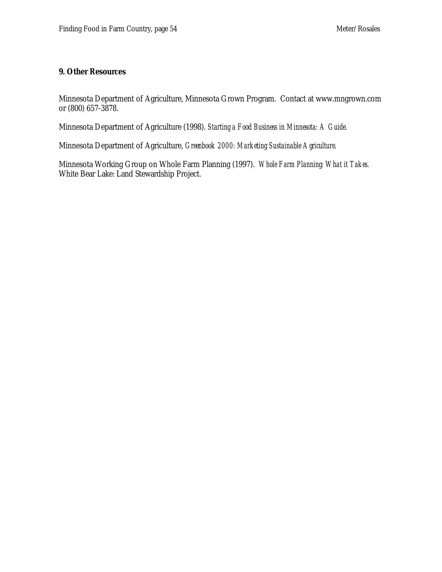#### **9. Other Resources**

Minnesota Department of Agriculture, Minnesota Grown Program. Contact at www.mngrown.com or (800) 657-3878.

Minnesota Department of Agriculture (1998). *Starting a Food Business in Minnesota: A Guide.*

Minnesota Department of Agriculture, *Greenbook 2000: Marketing Sustainable Agriculture.*

Minnesota Working Group on Whole Farm Planning (1997). *Whole Farm Planning: What it Takes.* White Bear Lake: Land Stewardship Project.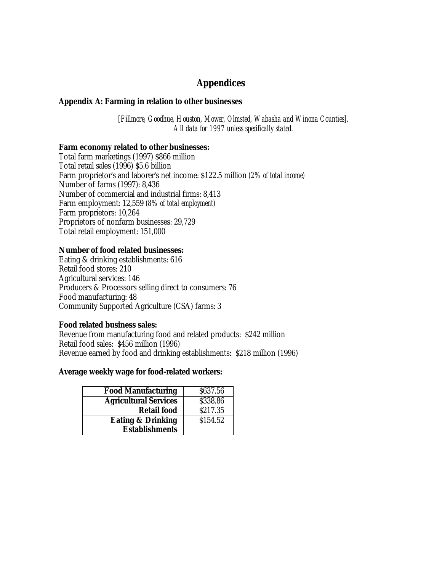# **Appendices**

#### **Appendix A: Farming in relation to other businesses**

*[Fillmore, Goodhue, Houston, Mower, Olmsted, Wabasha and Winona Counties]. All data for 1997 unless specifically stated.*

#### **Farm economy related to other businesses:**

Total farm marketings (1997) \$866 million Total retail sales (1996) \$5.6 billion Farm proprietor's and laborer's net income: \$122.5 million *(2% of total income)* Number of farms (1997): 8,436 Number of commercial and industrial firms: 8,413 Farm employment: 12,559 *(8% of total employment)* Farm proprietors: 10,264 Proprietors of nonfarm businesses: 29,729 Total retail employment: 151,000

#### **Number of food related businesses:**

Eating & drinking establishments: 616 Retail food stores: 210 Agricultural services: 146 Producers & Processors selling direct to consumers: 76 Food manufacturing: 48 Community Supported Agriculture (CSA) farms: 3

#### **Food related business sales:**

Revenue from manufacturing food and related products: \$242 million Retail food sales: \$456 million (1996) Revenue earned by food and drinking establishments: \$218 million (1996)

#### **Average weekly wage for food-related workers:**

| <b>Food Manufacturing</b>    | \$637.56 |
|------------------------------|----------|
| <b>Agricultural Services</b> | \$338.86 |
| <b>Retail food</b>           | \$217.35 |
| <b>Eating &amp; Drinking</b> | \$154.52 |
| <b>Establishments</b>        |          |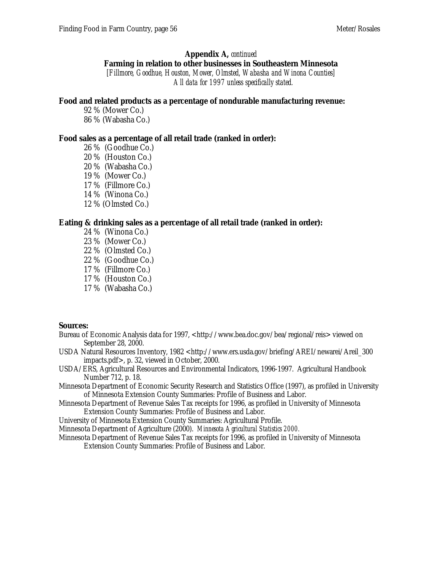#### **Appendix A,** *continued*

#### **Farming in relation to other businesses in Southeastern Minnesota**

*[Fillmore, Goodhue, Houston, Mower, Olmsted, Wabasha and Winona Counties] All data for 1997 unless specifically stated.*

#### **Food and related products as a percentage of nondurable manufacturing revenue:**

92 % (Mower Co.) 86 % (Wabasha Co.)

#### **Food sales as a percentage of all retail trade (ranked in order):**

26 % (Goodhue Co.) 20 % (Houston Co.) 20 % (Wabasha Co.) 19 % (Mower Co.) 17 % (Fillmore Co.) 14 % (Winona Co.) 12 % (Olmsted Co.)

#### **Eating & drinking sales as a percentage of all retail trade (ranked in order):**

- 24 % (Winona Co.) 23 % (Mower Co.) 22 % (Olmsted Co.) 22 % (Goodhue Co.)
- 17 % (Fillmore Co.)
- 17 % (Houston Co.)
- 17 % (Wabasha Co.)

#### **Sources:**

- Bureau of Economic Analysis data for 1997, <http://www.bea.doc.gov/bea/regional/reis> viewed on September 28, 2000.
- USDA Natural Resources Inventory, 1982 <http://www.ers.usda.gov/briefing/AREI/newarei/Areil\_300 impacts.pdf>, p. 32, viewed in October, 2000.
- USDA/ERS, Agricultural Resources and Environmental Indicators, 1996-1997. Agricultural Handbook Number 712, p. 18.
- Minnesota Department of Economic Security Research and Statistics Office (1997), as profiled in University of Minnesota Extension County Summaries: Profile of Business and Labor.
- Minnesota Department of Revenue Sales Tax receipts for 1996, as profiled in University of Minnesota Extension County Summaries: Profile of Business and Labor.
- University of Minnesota Extension County Summaries: Agricultural Profile.

Minnesota Department of Agriculture (2000). *Minnesota Agricultural Statistics 2000.*

Minnesota Department of Revenue Sales Tax receipts for 1996, as profiled in University of Minnesota Extension County Summaries: Profile of Business and Labor.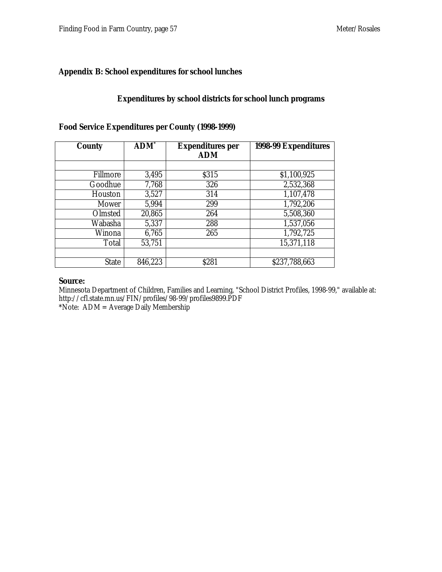#### **Appendix B: School expenditures for school lunches**

#### **Expenditures by school districts for school lunch programs**

| <b>County</b> | <b>ADM</b> <sup>*</sup> | <b>Expenditures per</b><br><b>ADM</b> | 1998-99 Expenditures |
|---------------|-------------------------|---------------------------------------|----------------------|
|               |                         |                                       |                      |
| Fillmore      | 3,495                   | \$315                                 | \$1,100,925          |
| Goodhue       | 7,768                   | 326                                   | 2,532,368            |
| Houston       | 3,527                   | 314                                   | 1,107,478            |
| Mower         | 5,994                   | 299                                   | 1,792,206            |
| Olmsted       | 20,865                  | 264                                   | 5,508,360            |
| Wabasha       | 5,337                   | 288                                   | 1,537,056            |
| Winona        | 6,765                   | 265                                   | 1,792,725            |
| Total         | 53,751                  |                                       | 15,371,118           |
|               |                         |                                       |                      |
| <b>State</b>  | 846,223                 | \$281                                 | \$237,788,663        |

#### **Food Service Expenditures per County (1998-1999)**

#### **Source:**

Minnesota Department of Children, Families and Learning, "School District Profiles, 1998-99," available at: http://cfl.state.mn.us/FIN/profiles/98-99/profiles9899.PDF \*Note: ADM = Average Daily Membership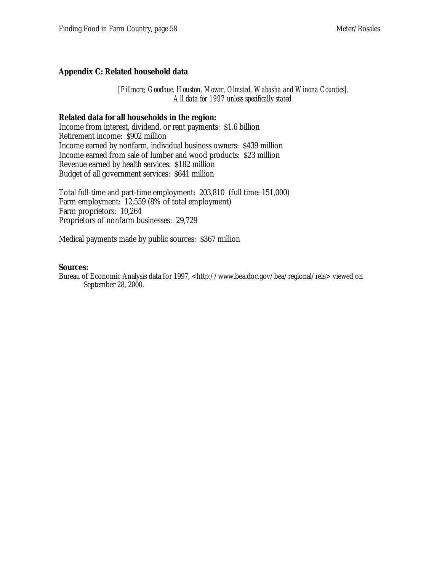#### **Appendix C: Related household data**

*[Fillmore, Goodhue, Houston, Mower, Olmsted, Wabasha and Winona Counties]. All data for 1997 unless specifically stated.*

#### **Related data for all households in the region:**

Income from interest, dividend, or rent payments: \$1.6 billion Retirement income: \$902 million Income earned by nonfarm, individual business owners: \$439 million Income earned from sale of lumber and wood products: \$23 million Revenue earned by health services: \$182 million Budget of all government services: \$641 million

Total full-time and part-time employment: 203,810 (full time: 151,000) Farm employment: 12,559 (8% of total employment) Farm proprietors: 10,264 Proprietors of nonfarm businesses: 29,729

Medical payments made by public sources: \$367 million

#### **Sources:**

Bureau of Economic Analysis data for 1997, <http://www.bea.doc.gov/bea/regional/reis> viewed on September 28, 2000.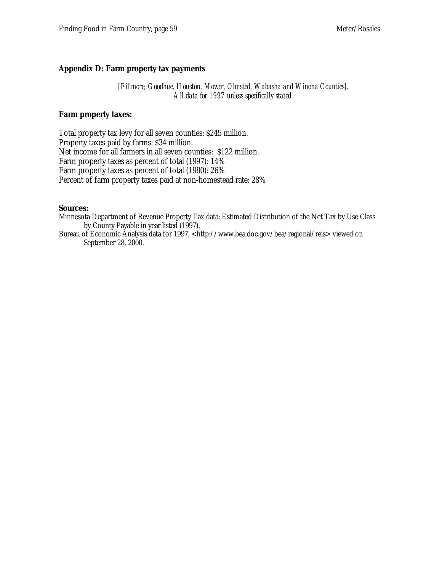#### **Appendix D: Farm property tax payments**

*[Fillmore, Goodhue, Houston, Mower, Olmsted, Wabasha and Winona Counties]. All data for 1997 unless specifically stated.*

#### **Farm property taxes:**

Total property tax levy for all seven counties: \$245 million. Property taxes paid by farms: \$34 million. Net income for all farmers in all seven counties: \$122 million. Farm property taxes as percent of total (1997): 14% Farm property taxes as percent of total (1980): 26% Percent of farm property taxes paid at non-homestead rate: 28%

#### **Sources:**

Minnesota Department of Revenue Property Tax data: Estimated Distribution of the Net Tax by Use Class by County Payable in year listed (1997).

Bureau of Economic Analysis data for 1997, <http://www.bea.doc.gov/bea/regional/reis> viewed on September 28, 2000.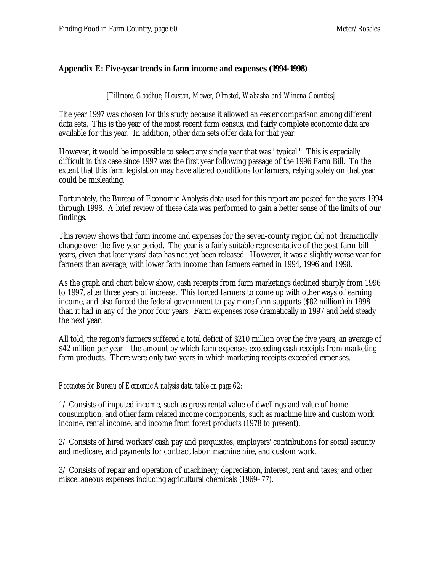#### **Appendix E: Five-year trends in farm income and expenses (1994-1998)**

*[Fillmore, Goodhue, Houston, Mower, Olmsted, Wabasha and Winona Counties]*

The year 1997 was chosen for this study because it allowed an easier comparison among different data sets. This is the year of the most recent farm census, and fairly complete economic data are available for this year. In addition, other data sets offer data for that year.

However, it would be impossible to select any single year that was "typical." This is especially difficult in this case since 1997 was the first year following passage of the 1996 Farm Bill. To the extent that this farm legislation may have altered conditions for farmers, relying solely on that year could be misleading.

Fortunately, the Bureau of Economic Analysis data used for this report are posted for the years 1994 through 1998. A brief review of these data was performed to gain a better sense of the limits of our findings.

This review shows that farm income and expenses for the seven-county region did not dramatically change over the five-year period. The year is a fairly suitable representative of the post-farm-bill years, given that later years' data has not yet been released. However, it was a slightly worse year for farmers than average, with lower farm income than farmers earned in 1994, 1996 and 1998.

As the graph and chart below show, cash receipts from farm marketings declined sharply from 1996 to 1997, after three years of increase. This forced farmers to come up with other ways of earning income, and also forced the federal government to pay more farm supports (\$82 million) in 1998 than it had in any of the prior four years. Farm expenses rose dramatically in 1997 and held steady the next year.

All told, the region's farmers suffered a total deficit of \$210 million over the five years, an average of \$42 million per year – the amount by which farm expenses exceeding cash receipts from marketing farm products. There were only two years in which marketing receipts exceeded expenses.

#### *Footnotes for Bureau of Economic Analysis data table on page 62:*

1/ Consists of imputed income, such as gross rental value of dwellings and value of home consumption, and other farm related income components, such as machine hire and custom work income, rental income, and income from forest products (1978 to present).

2/ Consists of hired workers' cash pay and perquisites, employers' contributions for social security and medicare, and payments for contract labor, machine hire, and custom work.

3/ Consists of repair and operation of machinery; depreciation, interest, rent and taxes; and other miscellaneous expenses including agricultural chemicals (1969–77).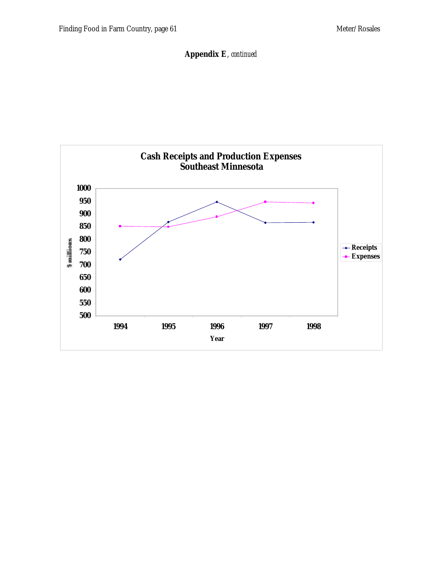**Appendix E**, *continued*